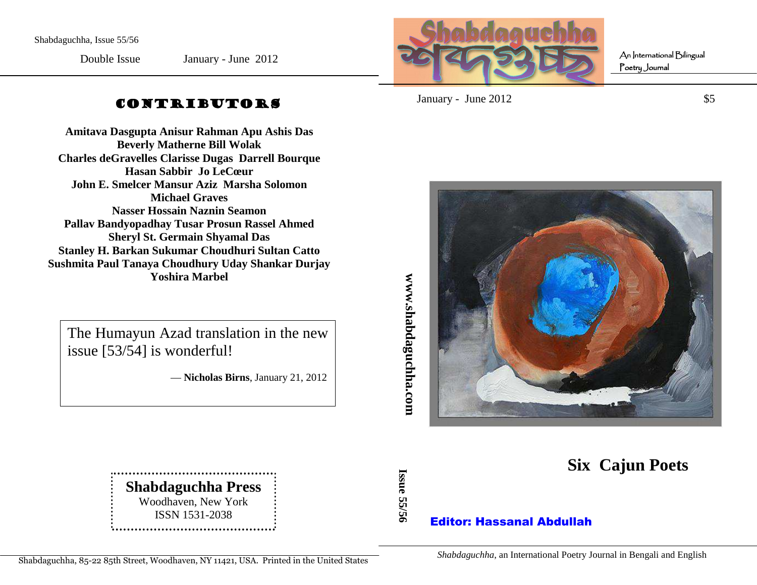Double Issue

January - June 2012



An International Bilingual Poetry Journal

# CONTRIBUTORS

**Amitava Dasgupta Anisur Rahman Apu Ashis Das Beverly Matherne Bill Wolak Charles deGravelles Clarisse Dugas Darrell BourqueHasan Sabbir Jo LeCœur John E. Smelcer Mansur Aziz Marsha Solomon Michael Graves Nasser Hossain Naznin Seamon Pallav Bandyopadhay Tusar Prosun Rassel Ahmed Sheryl St. Germain Shyamal Das Stanley H. Barkan Sukumar Choudhuri Sultan Catto Sushmita Paul Tanaya Choudhury Uday Shankar Durjay Yoshira Marbel** 

The Humayun Azad translation in the new issue [53/54] is wonderful!

— **Nicholas Birns**, January 21, 2012

**Shabdaguchha Press** Woodhaven, New YorkISSN 1531-2038   $January - June 2012$  \$5



**Six Cajun Poets** 

# Editor: Hassanal Abdullah

64Shabdaguchha, 85-22 85th Street, Woodhaven, NY 11421, USA. Printed in the United States

*Shabdaguchha*, an International Poetry Journal in Bengali and English

ww.shabdaguchha.com **www.shabdaguchha.com** 

**Issue 55/56**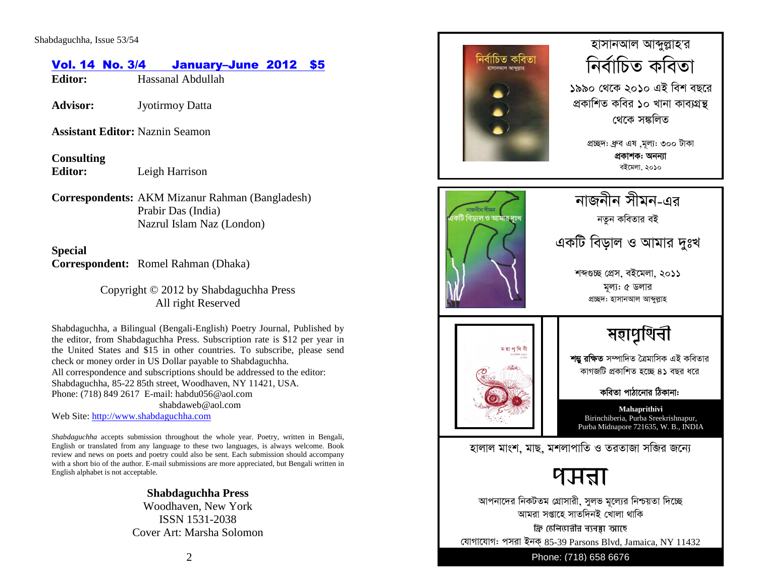# Vol. 14 No. 3/4 January–June 2012 \$5

**Editor:** Hassanal Abdullah

**Advisor:** Jyotirmoy Datta

**Assistant Editor:** Naznin Seamon

**Consulting Editor:** Leigh Harrison

**Correspondents:** AKM Mizanur Rahman (Bangladesh) Prabir Das (India) Nazrul Islam Naz (London)

**Special Correspondent:** Romel Rahman (Dhaka)

> Copyright © 2012 by Shabdaguchha Press All right Reserved

Shabdaguchha, a Bilingual (Bengali-English) Poetry Journal, Published by the editor, from Shabdaguchha Press. Subscription rate is \$12 per year in the United States and \$15 in other countries. To subscribe, please send check or money order in US Dollar payable to Shabdaguchha. All correspondence and subscriptions should be addressed to the editor: Shabdaguchha, 85-22 85th street, Woodhaven, NY 11421, USA. Phone: (718) 849 2617 E-mail: habdu056@aol.com shabdaweb@aol.com

Web Site: http://www.shabdaguchha.com

*Shabdaguchha* accepts submission throughout the whole year. Poetry, written in Bengali, English or translated from any language to these two languages, is always welcome. Book review and news on poets and poetry could also be sent. Each submission should accompany with a short bio of the author. E-mail submissions are more appreciated, but Bengali written in English alphabet is not acceptable.

# **Shabdaguchha Press**

 Woodhaven, New YorkISSN 1531-2038 Cover Art: Marsha Solomon

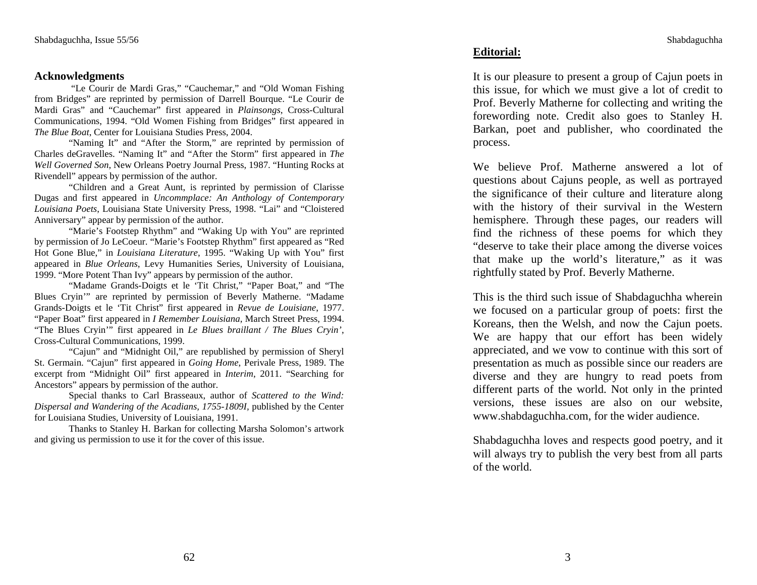## **Acknowledgments**

 "Le Courir de Mardi Gras," "Cauchemar," and "Old Woman Fishing from Bridges" are reprinted by permission of Darrell Bourque. "Le Courir de Mardi Gras" and "Cauchemar" first appeared in *Plainsongs*, Cross-Cultural Communications, 1994. "Old Women Fishing from Bridges" first appeared in *The Blue Boat*, Center for Louisiana Studies Press, 2004.

 "Naming It" and "After the Storm," are reprinted by permission of Charles deGravelles. "Naming It" and "After the Storm" first appeared in *The Well Governed Son*, New Orleans Poetry Journal Press, 1987. "Hunting Rocks at Rivendell" appears by permission of the author.

 "Children and a Great Aunt, is reprinted by permission of Clarisse Dugas and first appeared in *Uncommplace: An Anthology of Contemporary Louisiana Poets*, Louisiana State University Press, 1998. "Lai" and "Cloistered Anniversary" appear by permission of the author.

"Marie's Footstep Rhythm" and "Waking Up with You" are reprinted by permission of Jo LeCoeur. "Marie's Footstep Rhythm" first appeared as "Red Hot Gone Blue," in *Louisiana Literature*, 1995. "Waking Up with You" first appeared in *Blue Orleans*, Levy Humanities Series, University of Louisiana, 1999. "More Potent Than Ivy" appears by permission of the author.

 "Madame Grands-Doigts et le 'Tit Christ," "Paper Boat," and "The Blues Cryin'" are reprinted by permission of Beverly Matherne. "Madame Grands-Doigts et le 'Tit Christ" first appeared in *Revue de Louisiane*, 1977. "Paper Boat" first appeared in *I Remember Louisiana*, March Street Press, 1994. "The Blues Cryin'" first appeared in *Le Blues braillant / The Blues Cryin'*, Cross-Cultural Communications, 1999.

 "Cajun" and "Midnight Oil," are republished by permission of Sheryl St. Germain. "Cajun" first appeared in *Going Home*, Perivale Press, 1989. The excerpt from "Midnight Oil" first appeared in *Interim*, 2011. "Searching for Ancestors" appears by permission of the author.

 Special thanks to Carl Brasseaux, author of *Scattered to the Wind: Dispersal and Wandering of the Acadians, 1755-1809I,* published by the Center for Louisiana Studies, University of Louisiana, 1991.

 Thanks to Stanley H. Barkan for collecting Marsha Solomon's artwork and giving us permission to use it for the cover of this issue.

## **Editorial:**

It is our pleasure to present a group of Cajun poets in this issue, for which we must give a lot of credit to Prof. Beverly Matherne for collecting and writing the forewording note. Credit also goes to Stanley H. Barkan, poet and publisher, who coordinated the process.

We believe Prof. Matherne answered a lot of questions about Cajuns people, as well as portrayed the significance of their culture and literature along with the history of their survival in the Western hemisphere. Through these pages, our readers will find the richness of these poems for which they "deserve to take their place among the diverse voices that make up the world's literature," as it was rightfully stated by Prof. Beverly Matherne.

This is the third such issue of Shabdaguchha wherein we focused on a particular group of poets: first the Koreans, then the Welsh, and now the Cajun poets. We are happy that our effort has been widely appreciated, and we vow to continue with this sort of presentation as much as possible since our readers are diverse and they are hungry to read poets from different parts of the world. Not only in the printed versions, these issues are also on our website, www.shabdaguchha.com, for the wider audience.

Shabdaguchha loves and respects good poetry, and it will always try to publish the very best from all parts of the world.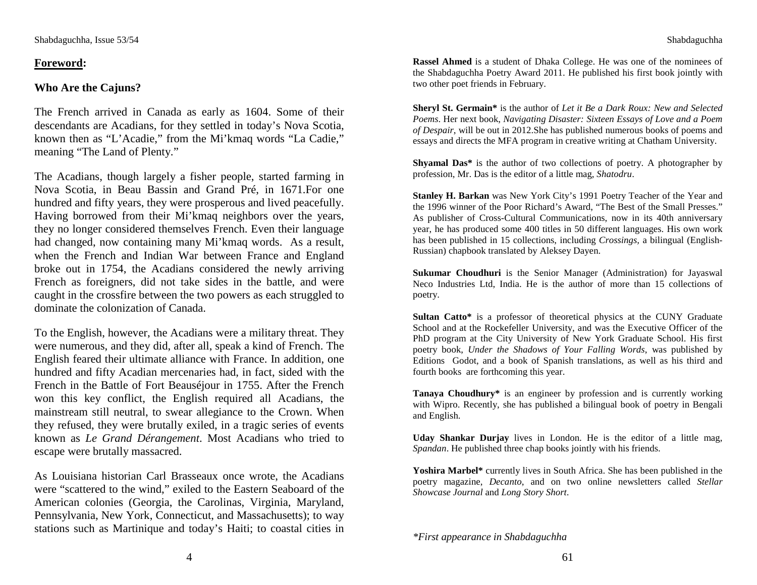# **Foreword:**

# **Who Are the Cajuns?**

The French arrived in Canada as early as 1604. Some of their descendants are Acadians, for they settled in today's Nova Scotia, known then as "L'Acadie," from the Mi'kmaq words "La Cadie," meaning "The Land of Plenty."

The Acadians, though largely a fisher people, started farming in Nova Scotia, in Beau Bassin and Grand Pré, in 1671.For one hundred and fifty years, they were prosperous and lived peacefully. Having borrowed from their Mi'kmaq neighbors over the years, they no longer considered themselves French. Even their language had changed, now containing many Mi'kmaq words. As a result, when the French and Indian War between France and England broke out in 1754, the Acadians considered the newly arriving French as foreigners, did not take sides in the battle, and were caught in the crossfire between the two powers as each struggled to dominate the colonization of Canada.

To the English, however, the Acadians were a military threat. They were numerous, and they did, after all, speak a kind of French. The English feared their ultimate alliance with France. In addition, one hundred and fifty Acadian mercenaries had, in fact, sided with the French in the Battle of Fort Beauséjour in 1755. After the French won this key conflict, the English required all Acadians, the mainstream still neutral, to swear allegiance to the Crown. When they refused, they were brutally exiled, in a tragic series of events known as *Le Grand Dérangement*. Most Acadians who tried to escape were brutally massacred.

As Louisiana historian Carl Brasseaux once wrote, the Acadians were "scattered to the wind," exiled to the Eastern Seaboard of the American colonies (Georgia, the Carolinas, Virginia, Maryland, Pennsylvania, New York, Connecticut, and Massachusetts); to way stations such as Martinique and today's Haiti; to coastal cities in

**Rassel Ahmed** is a student of Dhaka College. He was one of the nominees of the Shabdaguchha Poetry Award 2011. He published his first book jointly with two other poet friends in February.

**Sheryl St. Germain\*** is the author of *Let it Be a Dark Roux: New and Selected Poems*. Her next book, *Navigating Disaster: Sixteen Essays of Love and a Poem of Despair*, will be out in 2012.She has published numerous books of poems and essays and directs the MFA program in creative writing at Chatham University.

**Shyamal Das\*** is the author of two collections of poetry. A photographer by profession, Mr. Das is the editor of a little mag, *Shatodru*.

**Stanley H. Barkan** was New York City's 1991 Poetry Teacher of the Year and the 1996 winner of the Poor Richard's Award, "The Best of the Small Presses." As publisher of Cross-Cultural Communications, now in its 40th anniversary year, he has produced some 400 titles in 50 different languages. His own work has been published in 15 collections, including *Crossings,* a bilingual (English-Russian) chapbook translated by Aleksey Dayen.

**Sukumar Choudhuri** is the Senior Manager (Administration) for Jayaswal Neco Industries Ltd, India. He is the author of more than 15 collections of poetry.

**Sultan Catto\*** is a professor of theoretical physics at the CUNY Graduate School and at the Rockefeller University, and was the Executive Officer of the PhD program at the City University of New York Graduate School. His first poetry book, *Under the Shadows of Your Falling Words*, was published by Editions Godot, and a book of Spanish translations, as well as his third and fourth books are forthcoming this year.

**Tanaya Choudhury\*** is an engineer by profession and is currently working with Wipro. Recently, she has published a bilingual book of poetry in Bengali and English.

**Uday Shankar Durjay** lives in London. He is the editor of a little mag,*Spandan*. He published three chap books jointly with his friends.

**Yoshira Marbel\*** currently lives in South Africa. She has been published in the poetry magazine, *Decanto*, and on two online newsletters called *Stellar Showcase Journal* and *Long Story Short*.

*\*First appearance in Shabdaguchha*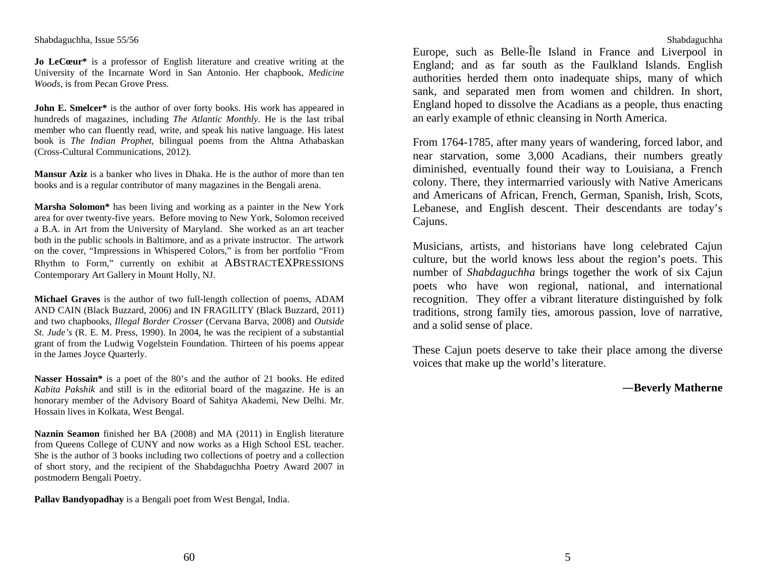**Jo LeCœur\*** is a professor of English literature and creative writing at the University of the Incarnate Word in San Antonio. Her chapbook, *Medicine Woods*, is from Pecan Grove Press.

**John E. Smelcer\*** is the author of over forty books. His work has appeared in hundreds of magazines, including *The Atlantic Monthly.* He is the last tribal member who can fluently read, write, and speak his native language. His latest book is *The Indian Prophet,* bilingual poems from the Ahtna Athabaskan (Cross-Cultural Communications, 2012).

**Mansur Aziz** is a banker who lives in Dhaka. He is the author of more than ten books and is a regular contributor of many magazines in the Bengali arena.

**Marsha Solomon\*** has been living and working as a painter in the New York area for over twenty-five years. Before moving to New York, Solomon received a B.A. in Art from the University of Maryland. She worked as an art teacher both in the public schools in Baltimore, and as a private instructor. The artwork on the cover, "Impressions in Whispered Colors," is from her portfolio "From Rhythm to Form," currently on exhibit at ABSTRACTEXPRESSIONS Contemporary Art Gallery in Mount Holly, NJ.

**Michael Graves** is the author of two full-length collection of poems, ADAM AND CAIN (Black Buzzard, 2006) and IN FRAGILITY (Black Buzzard, 2011) and two chapbooks, *Illegal Border Crosser* (Cervana Barva, 2008) and *Outside St. Jude's* (R. E. M. Press, 1990). In 2004, he was the recipient of a substantial grant of from the Ludwig Vogelstein Foundation. Thirteen of his poems appear in the James Joyce Quarterly.

**Nasser Hossain\*** is a poet of the 80's and the author of 21 books. He edited *Kabita Pakshik* and still is in the editorial board of the magazine. He is an honorary member of the Advisory Board of Sahitya Akademi, New Delhi. Mr. Hossain lives in Kolkata, West Bengal.

**Naznin Seamon** finished her BA (2008) and MA (2011) in English literature from Queens College of CUNY and now works as a High School ESL teacher. She is the author of 3 books including two collections of poetry and a collection of short story, and the recipient of the Shabdaguchha Poetry Award 2007 in postmodern Bengali Poetry.

**Pallav Bandyopadhay** is a Bengali poet from West Bengal, India.

Shabdaguchha

 Europe, such as Belle-Île Island in France and Liverpool in England; and as far south as the Faulkland Islands. English authorities herded them onto inadequate ships, many of which sank, and separated men from women and children. In short, England hoped to dissolve the Acadians as a people, thus enacting an early example of ethnic cleansing in North America.

From 1764-1785, after many years of wandering, forced labor, and near starvation, some 3,000 Acadians, their numbers greatly diminished, eventually found their way to Louisiana, a French colony. There, they intermarried variously with Native Americans and Americans of African, French, German, Spanish, Irish, Scots, Lebanese, and English descent. Their descendants are today's Cajuns.

Musicians, artists, and historians have long celebrated Cajun culture, but the world knows less about the region's poets. This number of *Shabdaguchha* brings together the work of six Cajun poets who have won regional, national, and international recognition. They offer a vibrant literature distinguished by folk traditions, strong family ties, amorous passion, love of narrative, and a solid sense of place.

These Cajun poets deserve to take their place among the diverse voices that make up the world's literature.

## ―**Beverly Matherne**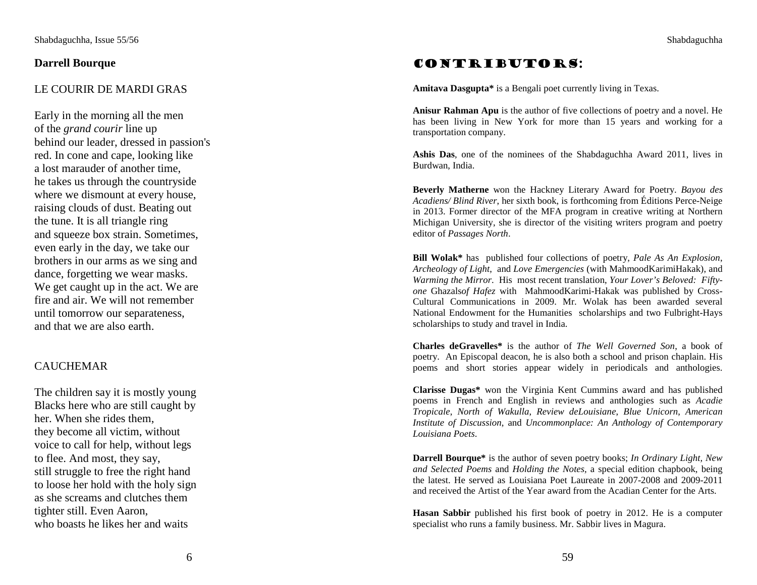## **Darrell Bourque**

## LE COURIR DE MARDI GRAS

Early in the morning all the men of the *grand courir* line up behind our leader, dressed in passion's red. In cone and cape, looking like a lost marauder of another time, he takes us through the countryside where we dismount at every house, raising clouds of dust. Beating out the tune. It is all triangle ring and squeeze box strain. Sometimes, even early in the day, we take our brothers in our arms as we sing and dance, forgetting we wear masks. We get caught up in the act. We are fire and air. We will not remember until tomorrow our separateness, and that we are also earth.

## CAUCHEMAR

The children say it is mostly young Blacks here who are still caught by her. When she rides them, they become all victim, without voice to call for help, without legs to flee. And most, they say, still struggle to free the right hand to loose her hold with the holy sign as she screams and clutches them tighter still. Even Aaron, who boasts he likes her and waits

# Contributors:

**Amitava Dasgupta\*** is a Bengali poet currently living in Texas.

**Anisur Rahman Apu** is the author of five collections of poetry and a novel. He has been living in New York for more than 15 years and working for a transportation company.

**Ashis Das**, one of the nominees of the Shabdaguchha Award 2011, lives in Burdwan, India.

**Beverly Matherne** won the Hackney Literary Award for Poetry. *Bayou des Acadiens/ Blind River*, her sixth book, is forthcoming from Éditions Perce-Neige in 2013. Former director of the MFA program in creative writing at Northern Michigan University, she is director of the visiting writers program and poetry editor of *Passages North*.

**Bill Wolak\*** has published four collections of poetry, *Pale As An Explosion*, *Archeology of Light*, and *Love Emergencies* (with MahmoodKarimiHakak), and *Warming the Mirror*. His most recent translation, *Your Lover's Beloved: Fiftyone* Ghazals*of Hafez* with MahmoodKarimi-Hakak was published by Cross-Cultural Communications in 2009. Mr. Wolak has been awarded several National Endowment for the Humanities scholarships and two Fulbright-Hays scholarships to study and travel in India.

**Charles deGravelles\*** is the author of *The Well Governed Son*, a book of poetry. An Episcopal deacon, he is also both a school and prison chaplain. His poems and short stories appear widely in periodicals and anthologies.

**Clarisse Dugas\*** won the Virginia Kent Cummins award and has published poems in French and English in reviews and anthologies such as *Acadie Tropicale*, *North of Wakulla*, *Review deLouisiane*, *Blue Unicorn*, *American Institute of Discussion*, and *Uncommonplace: An Anthology of Contemporary Louisiana Poets*.

**Darrell Bourque\*** is the author of seven poetry books; *In Ordinary Light, New and Selected Poems* and *Holding the Notes,* a special edition chapbook, being the latest. He served as Louisiana Poet Laureate in 2007-2008 and 2009-2011 and received the Artist of the Year award from the Acadian Center for the Arts.

**Hasan Sabbir** published his first book of poetry in 2012. He is a computer specialist who runs a family business. Mr. Sabbir lives in Magura.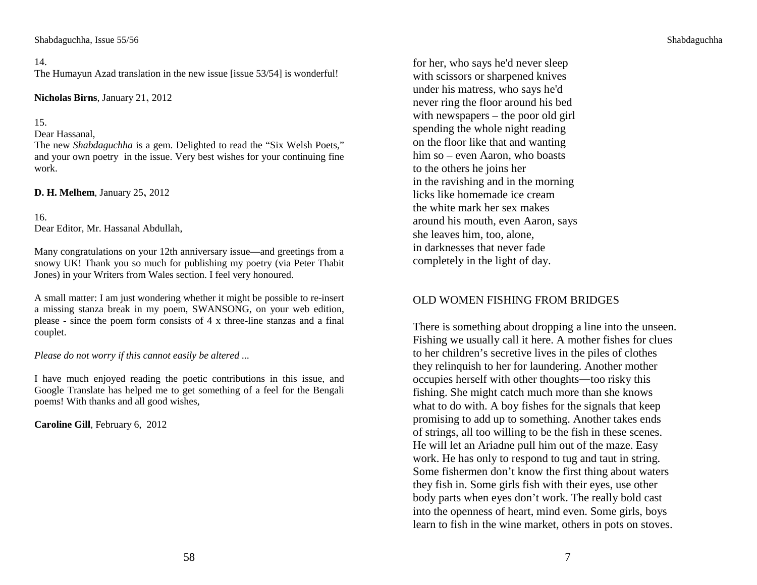#### 14.

The Humayun Azad translation in the new issue [issue 53/54] is wonderful!

**Nicholas Birns**, January 21, 2012

#### 15.

### Dear Hassanal,

 The new *Shabdaguchha* is a gem. Delighted to read the "Six Welsh Poets," and your own poetry in the issue. Very best wishes for your continuing fine work.

**D. H. Melhem**, January 25, 2012

#### 16.

Dear Editor, Mr. Hassanal Abdullah,

Many congratulations on your 12th anniversary issue—and greetings from a snowy UK! Thank you so much for publishing my poetry (via Peter Thabit Jones) in your Writers from Wales section. I feel very honoured.

A small matter: I am just wondering whether it might be possible to re-insert a missing stanza break in my poem, SWANSONG, on your web edition, please - since the poem form consists of 4 x three-line stanzas and a final couplet.

*Please do not worry if this cannot easily be altered ...*

I have much enjoyed reading the poetic contributions in this issue, and Google Translate has helped me to get something of a feel for the Bengali poems! With thanks and all good wishes,

**Caroline Gill**, February 6, 2012

for her, who says he'd never sleep with scissors or sharpened knives under his matress, who says he'd never ring the floor around his bed with newspapers – the poor old girl spending the whole night reading on the floor like that and wanting him so – even Aaron, who boasts to the others he joins her in the ravishing and in the morning licks like homemade ice cream the white mark her sex makes around his mouth, even Aaron, says she leaves him, too, alone, in darknesses that never fade completely in the light of day.

## OLD WOMEN FISHING FROM BRIDGES

There is something about dropping a line into the unseen. Fishing we usually call it here. A mother fishes for clues to her children's secretive lives in the piles of clothes they relinquish to her for laundering. Another mother occupies herself with other thoughts―too risky this fishing. She might catch much more than she knows what to do with. A boy fishes for the signals that keep promising to add up to something. Another takes ends of strings, all too willing to be the fish in these scenes. He will let an Ariadne pull him out of the maze. Easy work. He has only to respond to tug and taut in string. Some fishermen don't know the first thing about waters they fish in. Some girls fish with their eyes, use other body parts when eyes don't work. The really bold cast into the openness of heart, mind even. Some girls, boys learn to fish in the wine market, others in pots on stoves.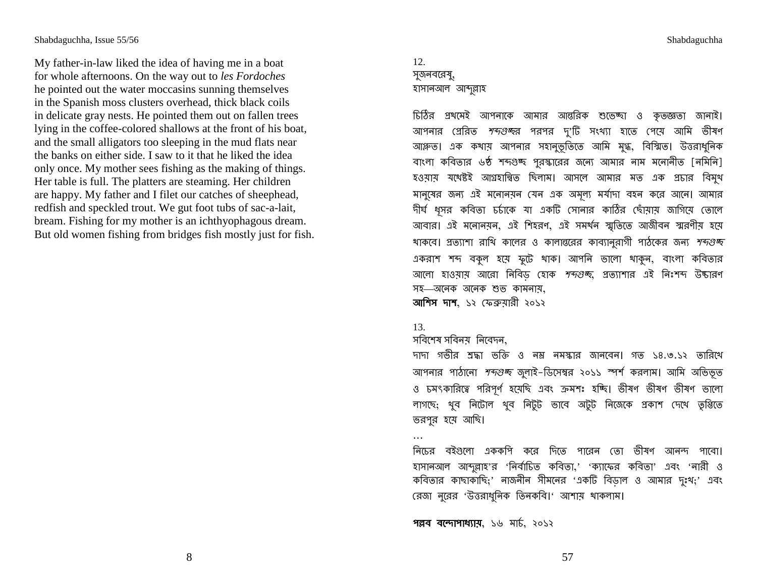My father-in-law liked the idea of having me in a boat for whole afternoons. On the way out to les Fordoches he pointed out the water moccasins sunning themselves in the Spanish moss clusters overhead, thick black coils in delicate gray nests. He pointed them out on fallen trees lying in the coffee-colored shallows at the front of his boat, and the small alligators too sleeping in the mud flats near the banks on either side. I saw to it that he liked the idea only once. My mother sees fishing as the making of things. Her table is full. The platters are steaming. Her children are happy. My father and I filet our catches of sheephead, redfish and speckled trout. We gut foot tubs of sac-a-lait, bream. Fishing for my mother is an ichthyophagous dream. But old women fishing from bridges fish mostly just for fish.

# 12. সুজনবরেষু, হাসানআল আব্দুল্লাহ

চিঠির প্রথমেই আপনাকে আমার আন্তরিক শুভেচ্ছা ও কৃতজ্ঞতা জানাই। আপনার গ্রেরিত *শব্দগুচ্ছ*র পরপর দু'টি সংখ্যা হাতে পেয়ে আমি ভীষণ আঞ্লত। এক কথায় আপনার সহানুভূতিতে আমি মুগ্ধ, বিস্মিত। উত্তরাধুনিক বাংলা কবিতার ৬ষ্ঠ শব্দগুচ্ছ পুরস্কারের জন্যে আমার নাম মনোনীত [নমিনি] হওয়ায় যথেষ্টই আগ্রহান্বিত ছিলাম। আসলে আমার মত এক প্রচার বিমুখ মানুষের জন্য এই মনোনয়ন যেন এক অমূল্য মর্যাদা বহন করে আনে। আমার দীর্ঘ ধুসর কবিতা চর্চাকে যা একটি সোনার কাঠির ছোঁয়ায় জাগিয়ে তোলে আবার। এই মনোনয়ন, এই শিহরণ, এই সমর্থন স্মৃতিতে আজীবন স্মরণীয় হয়ে থাকবে। প্রত্যাশা রাখি কালের ও কালান্তরের কাব্যানুরাগী পাঠকের জন্য *শব্দগুচ্চ* একরাশ শব্দ বকুল হয়ে ফুটে থাক। আপনি ভালো থাকুন, বাংলা কবিতার আলো হাওয়ায় আরো নিবিড হোক *শব্দগুচ্চ*, প্রত্যাশার এই নিঃশব্দ উচ্চারণ সহ—অনেক অনেক শুভ কামনায়, **আশিস দাশ.** ১২ ফেব্ৰুয়ারী ২০১২

#### 13.

 $\cdots$ 

## সবিশেষ সবিনয় নিবেদন,

দাদা গভীর শ্রদ্ধা ভক্তি ও নম্ভ নমস্কার জানবেন। গত ১৪.৩.১২ তারিখে আপনার পাঠানো *শব্দগুচ্চ* জুলাই-ডিসেম্বর ২০১১ স্পর্শ করলাম। আমি অভিভূত ও চমৎকারিত্বে পরিপূর্ণ হয়েছি এবং ক্রমশঃ হচ্ছি। ভীষণ ভীষণ ভীষণ ভালো লাগছে; থুব নিটোল থুব নিটুট ভাবে অটুট নিজেকে প্ৰকাশ দেখে তৃপ্তিতে তরপুর হয়ে আছি।

নিচের বইগুলো এককশি করে দিতে পারেন তো ভীষণ আনন্দ পাবো। হাসানআল আব্দুল্লাহ'র 'নির্বাচিত কবিতা,' 'ক্যাফের কবিতা' এবং 'নারী ও কবিতার কাছাকাছি;' নাজনীন সীমনের 'একটি বিডাল ও আমার দুঃখ;' এবং রেজা নূরের 'উত্তরাধুনিক তিনকবি।' আশায় থাকলাম।

পল্লব বন্দোপাধ্যায়, ১৬ মাৰ্চ, ২০১২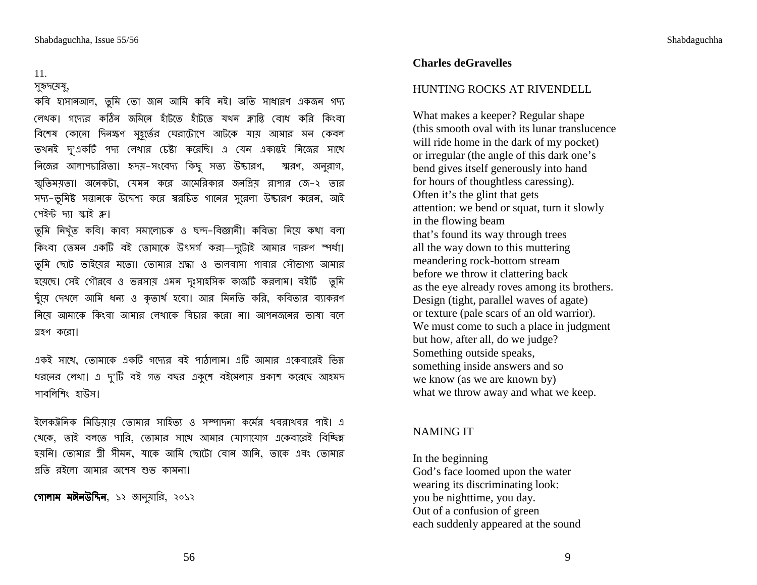## 11.

#### সুহৃদয়েষু,

কবি হাসানআল, তুমি তো জান আমি কবি নই। অতি সাধারণ একজন গদ্য লেখক। গদ্যের কঠিন জমিনে হাঁটতে হাঁটতে যথন ক্লান্তি বোধ করি কিংবা # " %b, / @ "AG G :\*  "
 তখনই দু'একটি পদ্য লেখার চেষ্টা করেছি। এ যেন একান্তই নিজের সাথে নিজের আলাপচারিতা। হৃদয়–সংবেদ্য কিছু স স্মরণ, অনুরাগ, স্মৃতিময়তা। অনেকটা, যেমন করে আমেরিকার জনপ্রিয় রাপার জে–২ তার সদ্য–ভূমিষ্ট সন্তানকে উদ্দেশ্য করে স্বরচিত গানের সুরেলা উদ্যারণ করেন, আই পেইন্ট দ্যা স্কাই ক্ল।

তুমি নিখুঁত কবি। কাব্য সমালোচক ও ছন্দ–বিজ্ঞানী। কবিতা নিয়ে কথা বলা কিংবা তেমন একটি বই তোমাকে উৎসৰ্গ করা—দুটোই আমার দারুণ স্পর্ধা। তুমি ছোট ভাইয়ের মতো। তোমার শ্রদ্ধা ও ভালবাসা পাবার সৌভাগ্য আমার যয়েছে। সেই গৌরবে ও ভরসায় এমন দুঃসাহসিক কাজটি করলাম। বইটি তুমি ঙ্কু্য়ে দেখলে আমি ধন্য ও কৃতার্থ হবো। আর মিনতি করি, কবিতার ব্যাকরণ নিয়ে আমাকে কিংবা আমার লেখাকে বিচার করো না। আপনজনের ভাষা বলে গ্রহণ করো।

একই সাথে, তোমাকে একটি গদ্যের বই পাঠালাম। এটি আমার একেবারেই ভিন্ন ধরনের লেখা। এ দু'টি বই গত বছর একুশে বইমেলায় প্রকাশ করেছে আহমদ পাবলিশিং হাউস ।

j W\*\* " - ) -k% @ (( । . থেকে, তাই বলতে পারি, তোমার সাথে আমার যোগাযোগ একেবারেই বিচ্ছিন্ন হয়নি। তোমার স্ত্রী সীমন, যাকে আমি ছোটো বোন জানি, তাকে এবং তোমার প্ৰতি ৱইলো আমার অশেষ শুভ কামনা।

**গোলাম মঈনউদ্দিন,** ১২ জানুয়ারি, ২০১২

#### **Charles deGravelles**

#### HUNTING ROCKS AT RIVENDELL

What makes a keeper? Regular shape (this smooth oval with its lunar translucence will ride home in the dark of my pocket) or irregular (the angle of this dark one's bend gives itself generously into hand for hours of thoughtless caressing). Often it's the glint that gets attention: we bend or squat, turn it slowly in the flowing beam that's found its way through trees all the way down to this muttering meandering rock-bottom stream before we throw it clattering back as the eye already roves among its brothers. Design (tight, parallel waves of agate) or texture (pale scars of an old warrior). We must come to such a place in judgment but how, after all, do we judge? Something outside speaks, something inside answers and so we know (as we are known by) what we throw away and what we keep.

#### NAMING IT

In the beginning God's face loomed upon the water wearing its discriminating look: you be nighttime, you day. Out of a confusion of green each suddenly appeared at the sound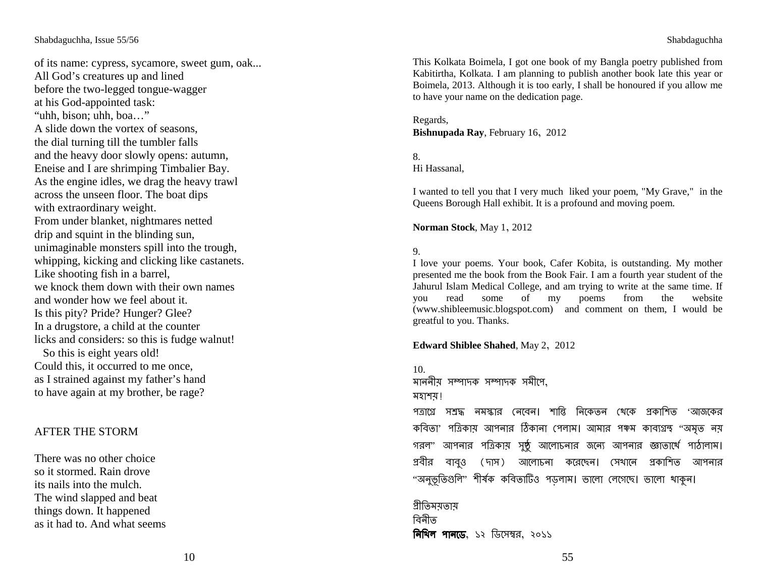of its name: cypress, sycamore, sweet gum, oak... All God's creatures up and lined before the two-legged tongue-wagger at his God-appointed task: "uhh, bison; uhh, boa…" A slide down the vortex of seasons, the dial turning till the tumbler falls and the heavy door slowly opens: autumn, Eneise and I are shrimping Timbalier Bay. As the engine idles, we drag the heavy trawl across the unseen floor. The boat dips with extraordinary weight. From under blanket, nightmares netted drip and squint in the blinding sun, unimaginable monsters spill into the trough, whipping, kicking and clicking like castanets. Like shooting fish in a barrel, we knock them down with their own names and wonder how we feel about it. Is this pity? Pride? Hunger? Glee? In a drugstore, a child at the counter licks and considers: so this is fudge walnut! So this is eight years old! Could this, it occurred to me once, as I strained against my father's hand to have again at my brother, be rage?

## AFTER THE STORM

There was no other choice so it stormed. Rain drove its nails into the mulch. The wind slapped and beat things down. It happened as it had to. And what seems

This Kolkata Boimela, I got one book of my Bangla poetry published from Kabitirtha, Kolkata. I am planning to publish another book late this year or Boimela, 2013. Although it is too early, I shall be honoured if you allow me to have your name on the dedication page.

Regards, **Bishnupada Ray**, February 16, 2012

#### 8. Hi Hassanal,

I wanted to tell you that I very much liked your poem, "My Grave," in the Queens Borough Hall exhibit. It is a profound and moving poem.

**Norman Stock**, May 1, 2012

### 9.

 I love your poems. Your book, Cafer Kobita, is outstanding. My mother presented me the book from the Book Fair. I am a fourth year student of the Jahurul Islam Medical College, and am trying to write at the same time. If website you read some of my poems from the website (www.shibleemusic.blogspot.com) and comment on them, I would be greatful to you. Thanks.

#### **Edward Shiblee Shahed**, May 2, 2012

10. মাননীয় সম্পাদক সম্পাদক সমীপে, মহাশয় ! পত্রাগ্রে সশ্রদ্ধ নমস্কার নেবেন। শান্তি নিকেতন থেকে প্রকাশিত 'আজকের কবিতা' পত্রিকায় আপনার ঠিকানা পেলাম। আমার পঞ্চম কাব্যগ্রন্থ ''অমত নয় গরল' আপনার পত্রিকায় সুষ্ঠু আলোচনার জন্যে আপনার জ্ঞাতার্থে পাঠালাম। প্রবীর বাবও (দাস) আলোচনা করেছেন। সেখানে প্রকাশিত আপনার "অনভূতিগুলি" শীৰ্ষক কবিতাটিও পডলাম। ভালো লেগেছে। ভালো খাকুন।

গ্ৰীতিময়তায় বিনীত <mark>নিখিল পানডে</mark>, ১২ ডিসেম্বর, ২০১১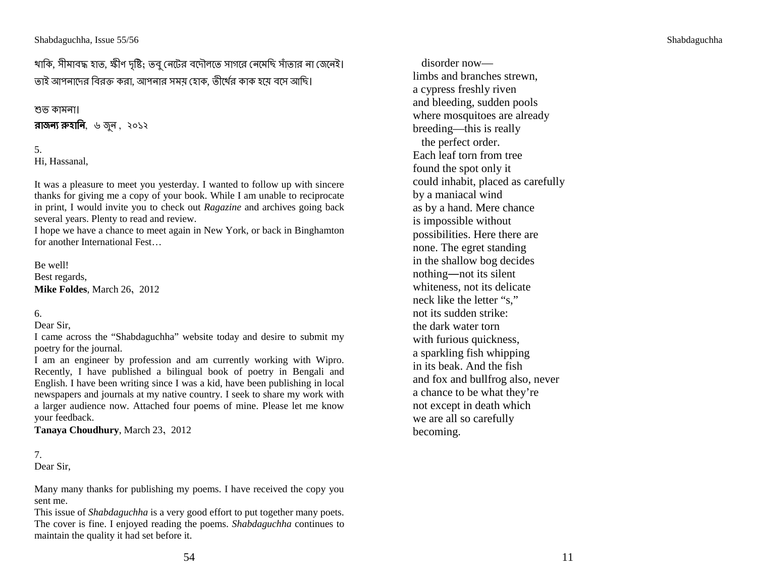থাকি, সীমাবদ্ধ হাত, স্কীণ দৃষ্টি; তবু নেটের বদৌলতে সাগরে নেমেছি সাঁতার না জেনেই। তাই আপনাদের বিরক্ত করা, আপনার সম<mark>য় হোক, তীর্</mark>থের কাক হয়ে বসে আছি।<br>'

# শুভ কামনা।<br>'

**রাজন্য রুহানি**, ৬ জুন , ২০১২<br>'

5. Hi, Hassanal,

It was a pleasure to meet you yesterday. I wanted to follow up with sincere thanks for giving me a copy of your book. While I am unable to reciprocate in print, I would invite you to check out *Ragazine* and archives going back several years. Plenty to read and review.

 I hope we have a chance to meet again in New York, or back in Binghamtonfor another International Fest…

Be well! Best regards, **Mike Foldes**, March 26, 2012

## 6.

Dear Sir,

 I came across the "Shabdaguchha" website today and desire to submit my poetry for the journal.

 I am an engineer by profession and am currently working with Wipro. Recently, I have published a bilingual book of poetry in Bengali and English. I have been writing since I was a kid, have been publishing in local newspapers and journals at my native country. I seek to share my work with a larger audience now. Attached four poems of mine. Please let me knowyour feedback.

**Tanaya Choudhury**, March 23, 2012

# 7.

Dear Sir,

Many many thanks for publishing my poems. I have received the copy yousent me.

 This issue of *Shabdaguchha* is a very good effort to put together many poets. The cover is fine. I enjoyed reading the poems. *Shabdaguchha* continues to maintain the quality it had set before it.

 disorder now limbs and branches strewn, a cypress freshly riven and bleeding, sudden pools where mosquitoes are already breeding—this is really the perfect order. Each leaf torn from tree found the spot only it could inhabit, placed as carefully by a maniacal wind as by a hand. Mere chance is impossible without possibilities. Here there are none. The egret standing in the shallow bog decides nothing―not its silent whiteness, not its delicate neck like the letter "s," not its sudden strike: the dark water torn with furious quickness, a sparkling fish whipping in its beak. And the fish and fox and bullfrog also, never a chance to be what they're not except in death which we are all so carefully becoming.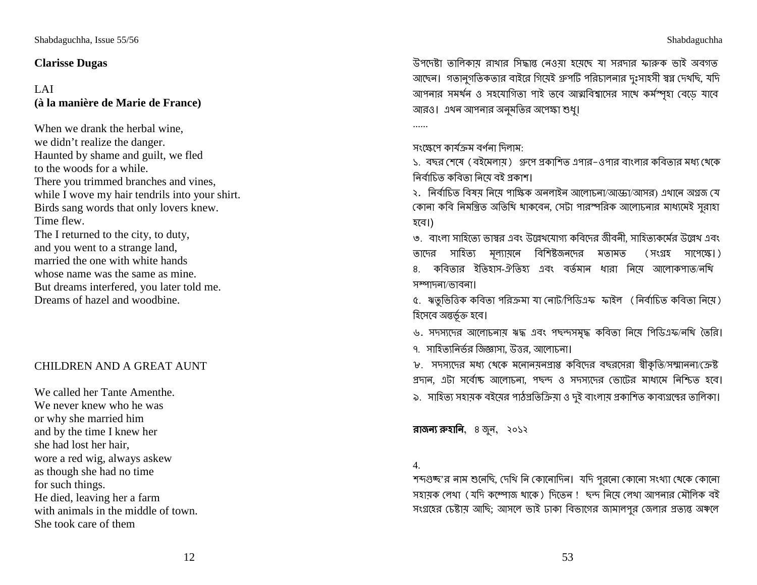# **Clarisse Dugas**

# LAI **(à la manière de Marie de France)**

When we drank the herbal wine, we didn't realize the danger. Haunted by shame and guilt, we fled to the woods for a while. There you trimmed branches and vines, while I wove my hair tendrils into your shirt. Birds sang words that only lovers knew. Time flew. The I returned to the city, to duty, and you went to a strange land, married the one with white hands whose name was the same as mine. But dreams interfered, you later told me. Dreams of hazel and woodbine.

# CHILDREN AND A GREAT AUNT

We called her Tante Amenthe. We never knew who he was or why she married him and by the time I knew her she had lost her hair, wore a red wig, always askew as though she had no time for such things. He died, leaving her a farm with animals in the middle of town. She took care of them

2%; 
\* ( -P "\* \*> : -% Fg ?C >। C C C\* t& %I- -+ du "%(>, :% আপনার সমর্থন ও সহযোগিতা পাই তবে আত্মবিশ্বাসের সাথে কর্মস্পৃহা বেড়ে যাবে আরও। এথন আপনার অনুমতির অপেক্ষা শুধু।

......

সংক্ষেপে কাৰ্যক্ৰম বৰ্ণনা দিলাম:<br>.

১. বছর শেষে ( বইমেলায় ) গ্রুপে প্রকাশিত এপার–ওপার বাংলার কবিতার মধ্য থেকে <mark>নিৰ্বাচিত কবিতা নি</mark>য়ে বই প্ৰকাশ।

২. নিৰ্বাচিত বিষয় নিয়ে পাক্ষিক অনলাইন আলোচনা/আড্ডা/আসর) এখানে অগ্রজ যে<br>িনিমিক বিভিন্ন বিভিন্ন কোনা কবি নিমন্ত্রিত অতিথি থাকবেন, সেটা পারস্পরিক আলোচনার মাধ্যমেই সুরাহা<br>' হবে।)

৩. বাংলা সাহিত্যে ভাষর এবং উল্লেথযোগ্য কবিদের জীব<mark>নী, সাহিত্যকর্মের উল্লে</mark>থ এবং তাদের সাহিত্য মূল্যায়নে বিশিষ্টজনদের মতামত (সংগ্রহ সাপেক্ষে।) ৪. কবিতার ইতিহাস-ঐতিহ্য এবং বর্তমা<mark>ন ধারা নি</mark>মে আলোকপাত/নথি সম্পাদনা/ভাবনা।

৫. ঋতুভিত্তিক কবিতা পরিক্রমা যা নোট/পিডিএফ ফাইল ( নির্বাচিত কবিতা নিয়ে )<br>-হিসেবে অন্তর্ভূক্ত হবে।<br>'

৬. সদস্যদের আলোচনায় ঋদ্ধ এবং পছন্দসমৃদ্ধ কবিতা নিয়ে পিডিএফ/নখি তৈরি। ৭. সাহিত্যনির্ভর জিজ্ঞাসা, উত্তর, আলোচনা<mark>।</mark>

৮. সদস্যদের মধ্য থেকে মনোনসনপ্রাপ্ত কবিদের বছরসেরা স্বীকৃতি/সম্মাননা/ক্রেষ্ট প্রদা<mark>ন, এটা সর্বো</mark>ষ্ট আলোচনা, পছন্দ ও সদস্যদের ভোটের মাধ্যমে নিশ্চিত হবে। ৯. সাহিত্য সহায়ক বইয়ের পাঠপ্রতিক্রিয়া ও দুই বাংলায় প্রকাশিত কাব্যগ্রন্থের তালিকা।<br>'

**রাজন্য রুহানি**, ৪ জুন, ২০১২

4.

শব্দগুচ্ছ'র নাম শুনেছি, দেখি নি কোনোদিন। যদি পুর্নো কোনো সংখ্যা খেকে কোনো - \* "
( (:% k ) % ! >\_ \* "
(  "h সংগ্রহের চেষ্টায় আছি; আসলে ভাই ঢাকা বিভাগের জামালপুর জেলার প্রত্যন্ত অঞ্চলে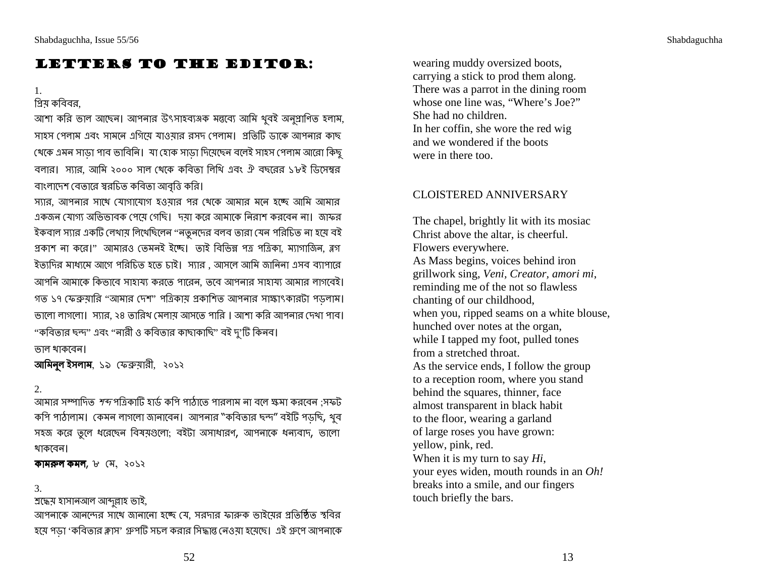# Letters to the Editor:

# 1.

গ্রিয় কবিবর, আশা করি ভাল আছেন। আপনার উৎসাহব্যঞ্জক মন্তব্যে আমি থুবই অনুপ্রাণিত হলাম, সাহস পেলাম এবং সাম<mark>নে</mark> এগিয়ে যাওয়ার রসদ পেলাম। প্রতিটি ডাকে আপনার কাছ থেকে এমন সাড়া পাব ভাবিনি। যা হোক সাড়া দিয়েছেন বলেই সাহস পেলাম আরো কিছু<br>' বলার। স্যার, আমি ২০০০ সাল থেকে কবিতা লিখি এবং ঐ বছরের ১৮ই ডিসেম্বর<br>' বাংলাদেশ বেতারে স্বরচিত কবিতা আবৃত্তি করি।

-),  - ":C:C \* "    . ":C) ? "\* "C>। %\*  # । F ইকবাল স্যার একটি লেখায় লিখেছিলেন ''নতুনদের বলব তারা যেন পরিচিত না হয়ে বই<br>্যক্তিত বি প্রকাশ না করে।'' আমারও তেমনই ইচ্ছে। তাই বিভিন্ন পত্র পত্রিকা, ম্যাগাজিন, ব্লগ ইত্যদির মাধ্যমে আগে পরিচিত হতে চাই। স্যার , আসলে আমি জানিনা এসব ব্যাপারে আপনি আমাকে কিভাবে সাহায্য করতে পারেন, তবে আপনার সাহায্য আমার লাগবেই।<br>' গত ১৭ ফেব্রুয়ারি ''আমার দেশ'' পত্রিকায় প্রকাশিত আপনার সাক্ষাৎকারটা পড়লাম। ভালো লাগলো। স্যার, ২৪ তারিখ মেলায় আসতে পারি । আশা করি আপনার দেখা পাব। "কবিতার ছন্দ" এবং ''নারী ও কবিতার কাছাকাছি'' বই দু'টি কিনব।

<mark>ভাল থাকবেন।</mark>

<mark>আমিনুল ইসলাম</mark>, ১৯ ফেব্রুয়ারী, ২০১২

## 2.

আমার সম্পাদিত *শব্দ* পত্রিকাটি হার্ড কপি পাঠাতে পারলাম না বলে ক্ষমা করবেন ;সফট<br>বিভিন্ন কপি পাঠালাম। কেমন লাগলো জানাবেন। আপনার "কবিতার ছন্দ" বইটি পড়ছি, খুব সহজ করে তুলে ধরেছেন বিষয়গুলো; বইটা অসাধারণ<mark>,</mark> আপনাকে ধন্যবাদ, ভালো থাকবেন।

**কামরুল কমল,** ৮ মে, ২০১২<br>

## 3.

শ্ৰদ্ধেয় হাসানআল আব্দুল্লাহ ভাই,

  \_ - ":, -% Fg \* 6 হয়ে পড়া 'কবিতার ক্লাস' গ্রুপটি সচল করার সিদ্ধান্ত <mark>নেওয়া হয়েছে। এই গ্রুপে আপনাকে</mark> wearing muddy oversized boots, carrying a stick to prod them along. There was a parrot in the dining room whose one line was, "Where's Joe?" She had no children. In her coffin, she wore the red wig and we wondered if the boots were in there too.

## CLOISTERED ANNIVERSARY

The chapel, brightly lit with its mosiac Christ above the altar, is cheerful. Flowers everywhere. As Mass begins, voices behind iron grillwork sing, *Veni, Creator, amori mi*,reminding me of the not so flawless chanting of our childhood, when you, ripped seams on a white blouse, hunched over notes at the organ, while I tapped my foot, pulled tones from a stretched throat. As the service ends, I follow the group to a reception room, where you stand behind the squares, thinner, face almost transparent in black habit to the floor, wearing a garland of large roses you have grown: yellow, pink, red. When it is my turn to say *Hi*, your eyes widen, mouth rounds in an *Oh!*breaks into a smile, and our fingers touch briefly the bars.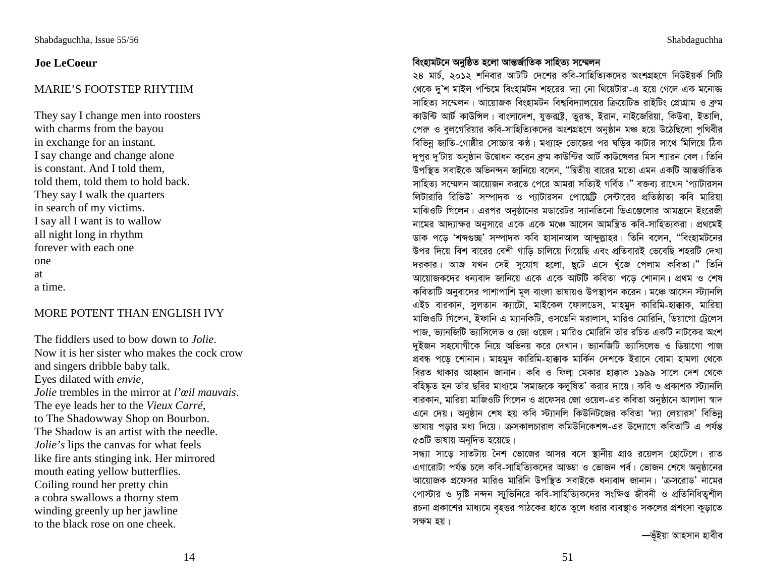## **Joe LeCoeur**

## MARIE'S FOOTSTEP RHYTHM

They say I change men into roosters with charms from the bayou in exchange for an instant. I say change and change alone is constant. And I told them, told them, told them to hold back. They say I walk the quarters in search of my victims. I say all I want is to wallow all night long in rhythm forever with each one one at a time.

## MORE POTENT THAN ENGLISH IVY

The fiddlers used to bow down to *Jolie*. Now it is her sister who makes the cock crow and singers dribble baby talk. Eyes dilated with *envie, Jolie* trembles in the mirror at *l'œil mauvais*. The eye leads her to the *Vieux Carré*, to The Shadowway Shop on Bourbon. The Shadow is an artist with the needle. *Jolie's* lips the canvas for what feels like fire ants stinging ink. Her mirrored mouth eating yellow butterflies. Coiling round her pretty chin a cobra swallows a thorny stem winding greenly up her jawline to the black rose on one cheek.

## বিংহামটনে অনুষ্ঠিত হলো আন্তর্জাতিক সাহিত্য সম্মেলন

২৪ মাৰ্চ, ২০১২ শনিবার আটটি দেশের কবি-সাহিত্যিকদের অংশগ্রহণে নিউইয়র্ক সিটি খেকে দু'শ মাইল পশ্চিমে বিংহামটন শহরের 'দ্যা নো থিয়েটার'-এ হয়ে গেলে এক মনোজ্ঞ সাহিত্য সম্মেলন। আয়োজক বিংহামটন বিশ্ববিদ্যালয়ের ক্রিয়েটিভ রাইটিং প্রোগ্রাম ও ব্রুম কাউন্টি আর্ট কাউন্সিল। বাংলাদেশ, যুক্তরাষ্ট্র, তুরস্ক, ইরান, নাইজেরিয়া, কিউবা, ইতালি, পেরু ও বুলগেরিয়ার কবি-সাহিত্যিকদের অংশগ্রহণে অনুষ্ঠান মঞ্চ হয়ে উঠেছিলো পৃথিবীর বিভিন্ন জাতি-গোষ্ঠীর সোচ্চার কণ্ঠ। মধ্যাহ্ন ভোজের পর ঘড়ির কাটার সাথে মিলিয়ে ঠিক দুপুর দু'টায় অনুষ্ঠান উদ্বোধন করেন ব্রুম কাউন্টির আর্ট কাউন্সেলর মিস শ্যারন বেল। তিনি উপস্থিত সবাইকে অভিনন্দন জানিয়ে বলেন, "দ্বিতীয় বারের মতো এমন একটি আন্তর্জাতিক সাহিত্য সম্মেলন আয়োজন করতে পেরে আমরা সত্যিই গর্বিত।" বক্তব্য রাখেন 'প্যাটারসন লিটারারি রিভিউ' সম্পাদক ও প্যাটারসন পোয়েট্রি সেন্টারের প্রতিষ্ঠাতা কবি মারিয়া মাঝিওটি গিলেন। এরপর অনুষ্ঠানের মডারেটর স্যানতিনো ডিএঞ্জেলার আমন্ত্রনে ইংরেজী নামের আদ্যাক্ষর অনুসারে একে একে মঞ্চে আসেন আমন্ত্রিত কবি-সাহিত্যকরা। প্রথমেই ডাক পড়ে 'শব্দগুচ্ছ' সম্পাদক কবি হাসানআল আব্দুল্লাহর। তিনি বলেন, "বিংহামটনের উপর দিয়ে বিশ বারের বেশী গাড়ি চালিয়ে গিয়েছি এবং প্রতিবারই ভেবেছি শহরটি দেখা দরকার। আজ যখন সেই সুযোগ হলো, ছুটে এসে খুঁজে পেলাম কবিতা।" তিনি আয়োজকদের ধন্যবাদ জানিয়ে একে একে আটটি কবিতা পড়ে শোনান। প্রথম ও শেষ কবিতাটি অনুবাদের পাশাপাশি মূল বাংলা ভাষায়ও উপস্থাপন করেন। মঞ্চে আসেন স্ট্যানলি এইচ বারকান, সুলতান ক্যাটো, মাইকেল ফোলডেস, মাহমুদ কারিমি-হাক্কাক, মারিয়া মাজিওটি গিলেন, ইফানি এ ম্যানকিটি, ওসডেনি মরালাস, মারিও মোরিনি, ডিয়াগো ট্রেলেস পাজ, ভ্যানজিটি ভ্যাসিলেভ ও জো ওয়েল। মারিও মোরিনি তাঁর রচিত একটি নাটকের অংশ দুইজন সহযোগীকে নিয়ে অভিনয় করে দেখান। ভ্যানজিটি ভ্যাসিলেভ ও ডিয়াগো পাজ প্ৰবন্ধ পড়ে শোনান। মাহমুদ কারিমি-হাক্কাক মার্কিন দেশকে ইরানে বোমা হামলা থেকে বিরত থাকার আহ্বান জানান। কবি ও ফিল্ম মেকার হাক্কাক ১৯৯৯ সালে দেশ থেকে বহিষ্কৃত হন তাঁর ছবির মাধ্যমে 'সমাজকে কলুষিত' করার দায়ে। কবি ও প্রকাশক স্ট্যানলি বারকান, মারিয়া মাজিওটি গিলেন ও প্রফেসর জো ওয়েল-এর কবিতা অনুষ্ঠানে আলাদা স্বাদ এনে দেয়। অনুষ্ঠান শেষ হয় কবি স্ট্যানলি কিউনিটজের কবিতা 'দ্যা লেয়ারস' বিভিন্ন ভাষায় পড়ার মধ্য দিয়ে। ক্রসকালচারাল কমিউনিকেশন্স-এর উদ্যোগে কবিতাটি এ পর্যন্ত ৫৩টি ভাষায় অনুদিত হয়েছে।

সন্ধ্যা সাড়ে সাতটায় নৈশ ভোজের আসর বসে স্থানীয় গ্রাণ্ড রয়েলস হোটেলে। রাত এগারোটা পর্যন্ত চলে কবি-সাহিত্যিকদের আড্ডা ও ভোজন পর্ব। ভোজন শেষে অনুষ্ঠানের আয়োজক প্রফেসর মারিও মারিনি উপস্থিত সবাইকে ধন্যবাদ জানান। 'ক্রসরোড' নামের পোস্টার ও দৃষ্টি নন্দন স্মুভিনিরে কবি-সাহিত্যিকদের সংক্ষিপ্ত জীবনী ও প্রতিনিধিত্বশীল রচনা প্রকাশের মাধ্যমে বৃহত্তর পাঠকের হাতে তুলে ধরার ব্যবস্থাও সকলের প্রশংসা কুড়াতে সক্ষম হয়।

—ভঁইয়া আহসান হাবীব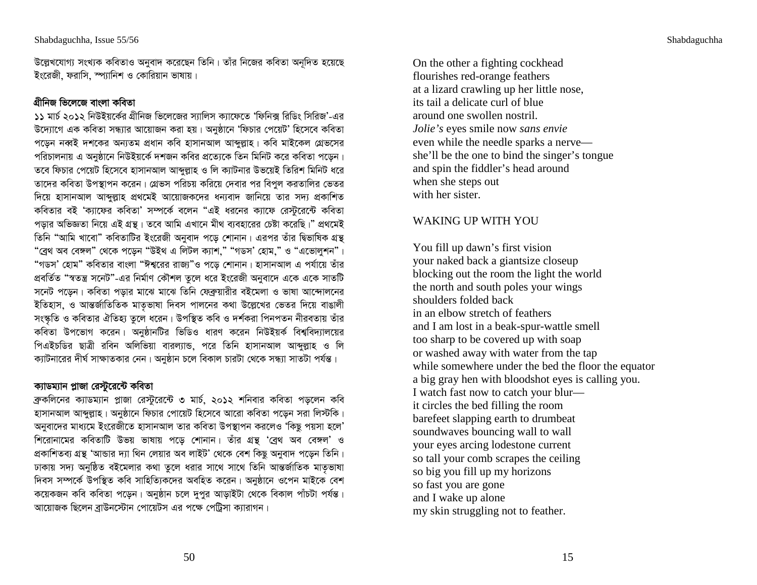উল্লেখযোগ্য সংখ্যক কবিতাও অনুবাদ করেছেন তিনি। তাঁর নিজের কবিতা অনূদিত হয়েছে ইংরেজী, ফরাসি, স্প্যানিশ ও কোরিয়ান ভাষায়।

# গ্ৰীনিজ ভিলেজে বাংলা কবিতা

১১ মার্চ ২০১২ নিউইয়র্কের গ্রীনিজ ভিলেজের স্যালিস ক্যাফেতে 'ফিনিক্স রিডিং সিরিজ'-এর উদ্যোগে এক কবিতা সন্ধ্যার আয়োজন করা হয়। অনুষ্ঠানে 'ফিচার পেয়েট' হিসেবে কবিতা পড়েন নব্বই দশকের অন্যতম প্রধান কবি হাসানআল আব্দুল্লাহ। কবি মাইকেল গ্রেভসের পরিচালনায় এ অনুষ্ঠানে নিউইয়র্কে দশজন কবির প্রত্যেকে তিন মিনিট করে কবিতা পড়েন। তবে ফিচার পেয়েট হিসেবে হাসানআল আব্দুল্লাহ ও লি ক্যাটনার উভয়েই তিরিশ মিনিট ধরে তাদের কবিতা উপস্থাপন করেন। গ্রেভস পরিচয় করিয়ে দেবার পর বিপুল করতালির ভেতর দিয়ে হাসানআল আব্দুল্লাহ প্রথমেই আয়োজকদের ধন্যবাদ জানিয়ে তার সদ্য প্রকাশিত কবিতার বই 'ক্যাফের কবিতা' সম্পর্কে বলেন "এই ধরনের ক্যাফে রেস্টুরেন্টে কবিতা পডার অভিজ্ঞতা নিয়ে এই গ্রন্থ। তবে আমি এখানে মীথ ব্যবহারের চেষ্টা করেছি।" প্রথমেই তিনি "আমি খাবো" কবিতাটির ইংরেজী অনবাদ পডে শোনান। এরপর তাঁর দ্বিভাষিক গ্রন্থ "ব্রেথ অব বেঙ্গল" থেকে পড়েন "উইথ এ লিটল ক্যাশ," "গডস' হোম," ও "এভোলুশন"। "গডস' হোম" কবিতার বাংলা "ঈশ্বরের রাজ্য"ও পড়ে শোনান। হাসানআল এ পর্যায়ে তাঁর প্রবর্তিত "স্বতন্ত্র সনেট"-এর নির্মাণ কৌশল তুলে ধরে ইংরেজী অনুবাদে একে একে সাতটি সনেট পড়েন। কবিতা পড়ার মাঝে মাঝে তিনি ফেব্রুয়ারীর বইমেলা ও ভাষা আন্দোলনের ইতিহাস, ও আন্তর্জাতিতিক মাতৃভাষা দিবস পালনের কথা উল্লেখের ভেতর দিয়ে বাঙালী সংস্কতি ও কবিতার ঐতিহ্য তুলে ধরেন। উপস্থিত কবি ও দর্শকরা পিনপতন নীরবতায় তাঁর কবিতা উপভোগ করেন। অনুষ্ঠানটির ভিডিও ধারণ করেন নিউইয়র্ক বিশ্ববিদ্যালয়ের পিএইচডির ছাত্রী রবিন অলিভিয়া বারল্যান্ড, পরে তিনি হাসানআল আব্দুল্লাহ ও লি ক্যাটনারের দীর্ঘ সাক্ষাতকার নেন। অনুষ্ঠান চলে বিকাল চারটা থেকে সন্ধ্যা সাতটা পর্যন্ত।

## ক্যাডম্যান প্লাজা রেস্টুরেন্টে কবিতা

ব্রুকলিনের ক্যাডম্যান প্লাজা রেস্টুরেন্টে ৩ মার্চ, ২০১২ শনিবার কবিতা পড়লেন কবি হাসানআল আব্দুল্লাহ। অনুষ্ঠানে ফিচার পোয়েট হিসেবে আরো কবিতা পড়েন সরা লিস্টকি। অনুবাদের মাধ্যমে ইংরেজীতে হাসানআল তার কবিতা উপস্থাপন করলেও 'কিছু পয়সা হলে' শিরোনামের কবিতাটি উভয় ভাষায় পড়ে শোনান। তাঁর গ্রন্থ 'ব্রেথ অব বেঙ্গল' ও প্রকাশিতব্য গ্রন্থ 'আন্ডার দ্যা থিন লেয়ার অব লাইট' থেকে বেশ কিছু অনুবাদ পড়েন তিনি। ঢাকায় সদ্য অনুষ্ঠিত বইমেলার কথা তুলে ধরার সাথে সাথে তিনি আন্তর্জাতিক মাতৃভাষা দিবস সম্পর্কে উপস্থিত কবি সাহিত্যিকদের অবহিত করেন। অনুষ্ঠানে ওপেন মাইকে বেশ কয়েকজন কবি কবিতা পডেন। অনুষ্ঠান চলে দুপর আডাইটা থেকে বিকাল পাঁচটা পর্যন্ত। আয়োজক ছিলেন ব্রাউনস্টোন পোয়েটস এর পক্ষে পেট্রিসা ক্যারাগন।

On the other a fighting cockhead flourishes red-orange feathers at a lizard crawling up her little nose, its tail a delicate curl of blue around one swollen nostril. Jolie's eyes smile now sans envie even while the needle sparks a nerve she'll be the one to bind the singer's tongue and spin the fiddler's head around when she steps out with her sister.

# **WAKING UP WITH YOU**

You fill up dawn's first vision your naked back a giantsize closeup blocking out the room the light the world the north and south poles your wings shoulders folded back in an elbow stretch of feathers and I am lost in a beak-spur-wattle smell too sharp to be covered up with soap or washed away with water from the tap while somewhere under the bed the floor the equator a big gray hen with bloodshot eyes is calling you. I watch fast now to catch your blur it circles the bed filling the room barefeet slapping earth to drumbeat soundwaves bouncing wall to wall your eyes arcing lodestone current so tall your comb scrapes the ceiling so big you fill up my horizons so fast you are gone and I wake up alone my skin struggling not to feather.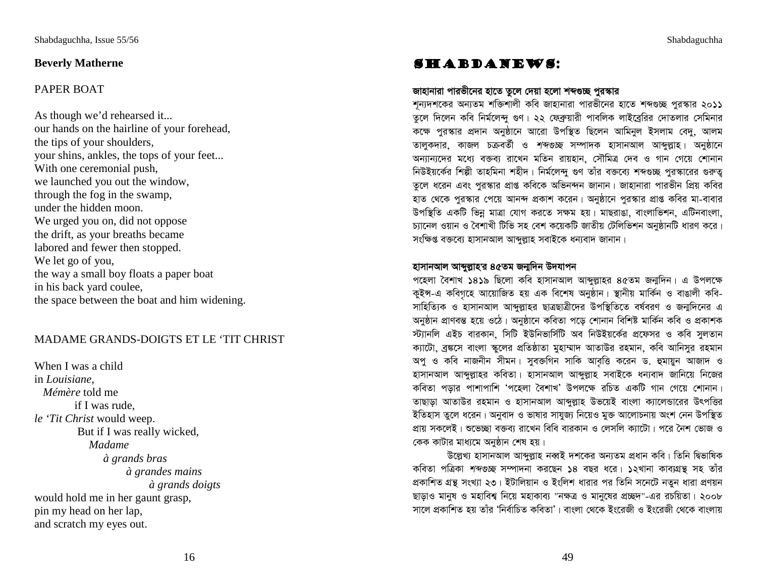## **Beverly Matherne**

## PAPER BOAT

As though we'd rehearsed it... our hands on the hairline of your forehead, the tips of your shoulders, your shins, ankles, the tops of your feet... With one ceremonial push, we launched you out the window, through the fog in the swamp, under the hidden moon. We urged you on, did not oppose the drift, as your breaths became labored and fewer then stopped. We let go of you, the way a small boy floats a paper boat in his back yard coulee, the space between the boat and him widening.

## MADAME GRANDS-DOIGTS ET LE 'TIT CHRIST

When I was a child in *Louisiane, Mémère* told me if I was rude, *le 'Tit Christ* would weep. But if I was really wicked,  *Madame à grands bras à grandes mains à grands doigts* would hold me in her gaunt grasp, pin my head on her lap, and scratch my eyes out.

# Shabdanews:

## জাহানারা পারভীনের হাতে তুলে দেয়া হলো শব্দগুচ্ছ পুরস্কার

শূন্যদশকের অন্যতম শক্তিশালী কবি জাহানারা পারভীনের হাতে শব্দগুচ্ছ পুরস্কার ২০**১১** তুলে দিলেন কবি নির্মলেন্দু গুণ। ২২ ফেব্রুয়ারী পাবলিক লাইব্রেরির দোতলার সেমিনার কক্ষে পুরস্কার প্রদান অনুষ্ঠানে আরো উপস্থিত ছিলেন আমিনুল ইসলাম বেদু, আলম তালুকদার, কাজল চক্রবর্তী ও *শব্দগুচ্ছ* সম্পাদক হাসানআল আব্দুল্লাহ। অনুষ্ঠানে অন্যান্যদের মধ্যে বক্তব্য রাখেন মতিন রায়হান, সৌমিত্র দেব ও গান গেয়ে শোনান নিউইয়র্কের শিল্পী তাহমিনা শহীদ। নির্মলেন্দু গুণ তাঁর বক্তব্যে শব্দগুচ্ছ পুরস্কারের গুরুত্ব তুলে ধরেন এবং পুরস্কার প্রাপ্ত কবিকে অভিনন্দন জানান। জাহানারা পারভীন প্রিয় কবির হাত থেকে পুরস্কার পেয়ে আনন্দ প্রকাশ করেন। অনুষ্ঠানে পুরস্কার প্রাপ্ত কবির মা-বাবার উপস্থিতি একটি ভিন্ন মাত্রা যোগ করতে সক্ষম হয়। মাছরাঙা, বাংলাভিশন, এটিনবাংলা, চ্যানেল ওয়ান ও বৈশাখী টিভি সহ বেশ কয়েকটি জাতীয় টেলিভিশন অনুষ্ঠানটি ধারণ করে। সংক্ষিপ্ত বক্তব্যে হাসানআল আব্দুল্লাহ সবাইকে ধন্যবাদ জানান।

### হাসানআল আব্দুল্লাহ'র ৪৫তম জন্মদিন উদযাপন

পহেলা বৈশাখ ১৪১৯ ছিলো কবি হাসানআল আব্দুল্লাহর ৪৫তম জন্মদিন। এ উপলক্ষে কুইন্স-এ কবিগৃহে আয়োজিত হয় এক বিশেষ অনুষ্ঠান। স্থানীয় মার্কিন ও বাঙালী কবি-সাহিত্যিক ও হাসানআল আব্দুল্লাহর ছাত্রছাত্রীদের উপস্থিতিতে বর্ষবরণ ও জন্মদিনের এ অনুষ্ঠান প্ৰাণবন্ত হয়ে ওঠে। অনুষ্ঠানে কবিতা পড়ে শোনান বিশিষ্ট মাৰ্কিন কবি ও প্ৰকাশক স্ট্যানলি এইচ বারকান, সিটি ইউনিভার্সিটি অব নিউইয়র্কের প্রফেসর ও কবি সুলতান ক্যাটো, ব্ৰঙ্কসে বাংলা স্কুলের প্রতিষ্ঠাতা মুহাম্মাদ আতাউর রহমান, কবি আনিসুর রহমান অপু ও কবি নাজনীন সীমন। সুবক্তগিন সাকি আবৃত্তি করেন ড. হুমায়ুন আজাদ ও হাসানআল আব্দুল্লাহর কবিতা। হাসানআল আব্দুল্লাহ সবাইকে ধন্যবাদ জানিয়ে নিজের কবিতা পড়ার পাশাপাশি 'পহেলা বৈশাখ' উপলক্ষে রচিত একটি গান গেয়ে শোনান। তাছাড়া আতাউর রহমান ও হাসানআল আব্দুল্লাহ উভয়েই বাংলা ক্যালেন্ডারের উৎপত্তির ইতিহাস তুলে ধরেন। অনুবাদ ও ভাষার সাযুজ্য নিয়েও মুক্ত আলোচনায় অংশ নেন উপস্থিত প্রায় সকলেই। শুভেচ্ছা বক্তব্য রাখেন বিবি বারকান ও লেসলি ক্যাটো। পরে নৈশ ভোজ ও কেক কাটার মাধ্যমে অনুষ্ঠান শেষ হয়।

উল্লেখ্য হাসানআল আব্দুল্লাহ নব্বই দশকের অন্যতম প্রধান কবি। তিনি দ্বিভাষিক কবিতা পত্রিকা *শব্দগুচ্ছ* সম্পাদনা করছেন ১৪ বছর ধরে। ১২খানা কাব্যগ্রন্থ সহ তাঁর প্রকাশিত গ্রন্থ সংখ্যা ২৩। ইটালিয়ান ও ইংলিশ ধারার পর তিনি সনেটে নতুন ধারা প্রণয়ন ছাড়াও মানুষ ও মহাবিশ্ব নিয়ে মহাকাব্য "নক্ষত্র ও মানুষের প্রচ্ছদ"-এর রচয়িতা। ২০০৮ সালে প্রকাশিত হয় তাঁর 'নির্বাচিত কবিতা'। বাংলা থেকে ইংরেজী ও ইংরেজী থেকে বাংলায়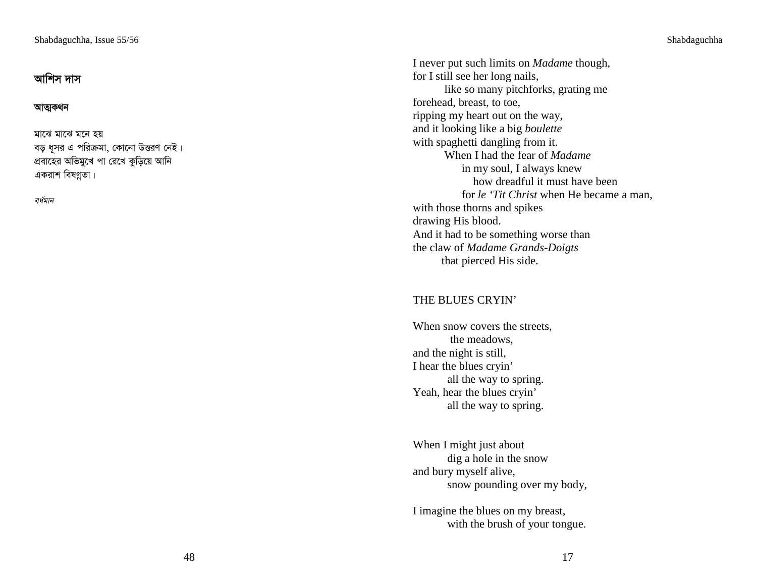# আশিস দাস

#### আত্মকথন

মাঝে মনে হয় বড় ধূসর এ পরিক্রমা, কোনো উত্তরণ <mark>নেই</mark> । প্রবাহের অভিমুখে পা রেখে কুড়িয়ে আনি একরাশ বিষণ্ণতা।

বৰ্ষমান

I never put such limits on *Madame* though, for I still see her long nails, like so many pitchforks, grating me forehead, breast, to toe, ripping my heart out on the way, and it looking like a big *boulette* with spaghetti dangling from it. When I had the fear of *Madame*  in my soul, I always knew how dreadful it must have been for *le 'Tit Christ* when He became a man, with those thorns and spikes drawing His blood. And it had to be something worse than the claw of *Madame Grands-Doigts*that pierced His side.

## THE BLUES CRYIN'

When snow covers the streets, the meadows, and the night is still, I hear the blues cryin' all the way to spring. Yeah, hear the blues cryin' all the way to spring.

When I might just about dig a hole in the snow and bury myself alive, snow pounding over my body,

I imagine the blues on my breast, with the brush of your tongue.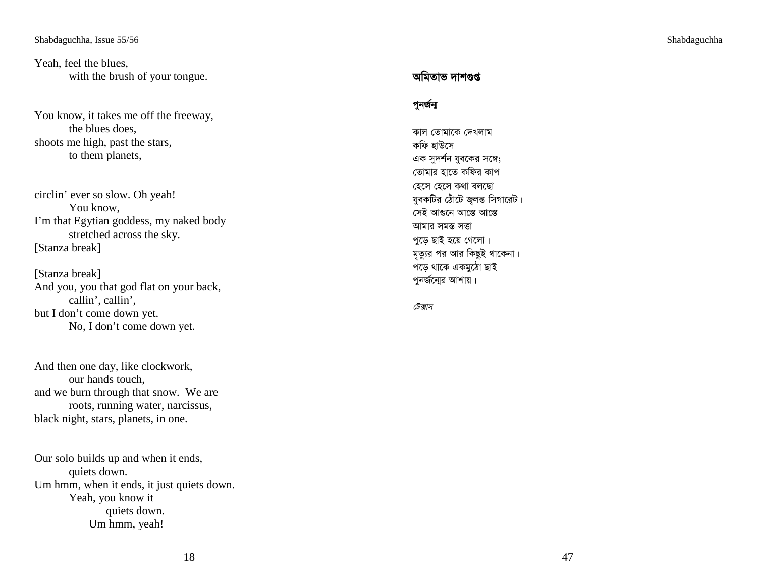Yeah, feel the blues, with the brush of your tongue.

You know, it takes me off the freeway, the blues does, shoots me high, past the stars, to them planets,

circlin' ever so slow. Oh yeah! You know, I'm that Egytian goddess, my naked body stretched across the sky. [Stanza break]

[Stanza break] And you, you that god flat on your back, callin', callin', but I don't come down yet. No, I don't come down yet.

And then one day, like clockwork, our hands touch, and we burn through that snow. We are roots, running water, narcissus, black night, stars, planets, in one.

Our solo builds up and when it ends, quiets down. Um hmm, when it ends, it just quiets down. Yeah, you know it quiets down. Um hmm, yeah!

# অমিতাভ দাশগুপ্ত

#### পুনৰ্জন্ম

কাল তোমাকে দেখলাম কফি হাউসে এক সুদর্শন যুবকের সঙ্গে; তোমার হাতে কফির কাপ হেসে হেসে কথা বলছো যুবকটির ঠোঁটে জ্বলন্ত সিগারেট। সেই আগুনে আস্তে আস্তে আমার সমস্ত সত্তা পু<mark>ড়ে</mark> ছাই হয়ে গেলো। মৃত্যুর পর আর কিছুই থাকেনা। পড়ে থাকে একমুঠো ছাই পুনর্জন্যের আশায়।

#### টেক্সাস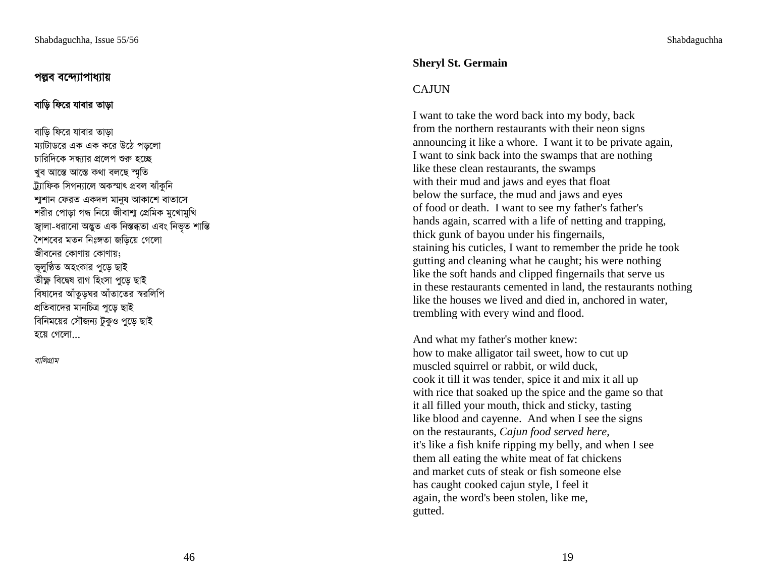## পল্লব বন্দ্যোপাধ্যায়

### বাড়ি ফিরে যাবার তাড়া

বাড়ি ফিরে যাবার তাড়া ম্যাটাডরে এক এক করে উঠে পডলো চারিদিকে সন্ধ্যার প্রলেপ শুরু হচ্ছে খুব আস্তে আস্তে কথা বলছে স্মতি ট্ৰ্যাফিক সিগন্যালে অকস্মাৎ প্ৰবল ঝাঁকুনি শাশান ফেরত একদল মানুষ আকাশে বাতাসে শরীর পোড়া গন্ধ নিয়ে জীবাশা প্রেমিক মুখোমুখি জ্বালা-ধরানো অদ্ভুত এক নিস্তব্ধতা এবং নিভূত শান্তি শৈশবের মতন নিঃঙ্গতা জডিয়ে গেলো জীবনের কোণায় কোণায়: ভুলুষ্ঠিত অহংকার পুড়ে ছাই তীক্ষ্ণ বিদ্বেষ রাগ হিংসা পুডে ছাই বিষাদের আঁতুড়ঘর আঁতাতের স্বরলিপি প্রতিবাদের মানচিত্র পুড়ে ছাই বিনিময়ের সৌজন্য টুকুও পুড়ে ছাই হয়ে গেলো

বালিগ্ৰাম

## **Shervl St. Germain**

## **CAJUN**

I want to take the word back into my body, back from the northern restaurants with their neon signs announcing it like a whore. I want it to be private again, I want to sink back into the swamps that are nothing like these clean restaurants, the swamps with their mud and jaws and eyes that float below the surface, the mud and jaws and eyes of food or death. I want to see my father's father's hands again, scarred with a life of netting and trapping, thick gunk of bayou under his fingernails, staining his cuticles, I want to remember the pride he took gutting and cleaning what he caught; his were nothing like the soft hands and clipped fingernails that serve us in these restaurants cemented in land, the restaurants nothing like the houses we lived and died in, anchored in water, trembling with every wind and flood.

And what my father's mother knew: how to make alligator tail sweet, how to cut up muscled squirrel or rabbit, or wild duck, cook it till it was tender, spice it and mix it all up with rice that soaked up the spice and the game so that it all filled your mouth, thick and sticky, tasting like blood and cayenne. And when I see the signs on the restaurants, Cajun food served here, it's like a fish knife ripping my belly, and when I see them all eating the white meat of fat chickens and market cuts of steak or fish someone else has caught cooked cajun style, I feel it again, the word's been stolen, like me, gutted.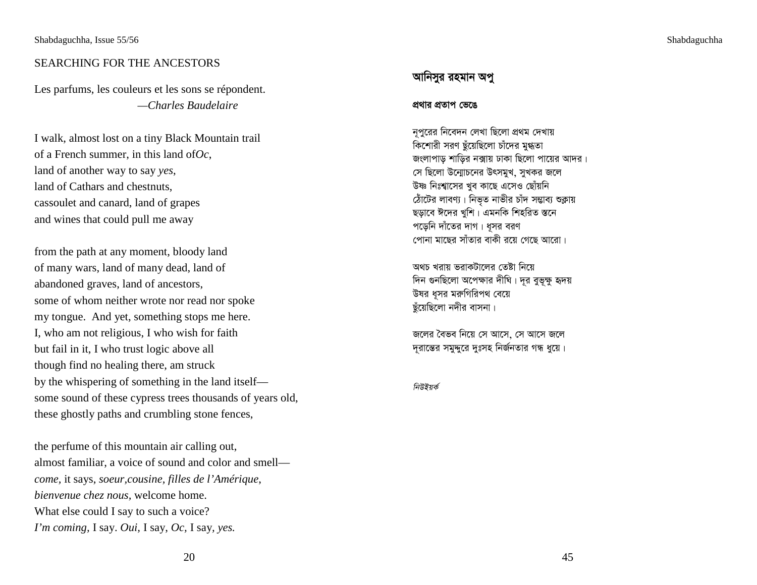### SEARCHING FOR THE ANCESTORS

Les parfums, les couleurs et les sons se répondent.  *—Charles Baudelaire* 

I walk, almost lost on a tiny Black Mountain trail of a French summer, in this land of*Oc*, land of another way to say *yes*, land of Cathars and chestnuts, cassoulet and canard, land of grapes and wines that could pull me away

from the path at any moment, bloody land of many wars, land of many dead, land of abandoned graves, land of ancestors, some of whom neither wrote nor read nor spoke my tongue. And yet, something stops me here. I, who am not religious, I who wish for faith but fail in it, I who trust logic above all though find no healing there, am struck by the whispering of something in the land itself some sound of these cypress trees thousands of years old, these ghostly paths and crumbling stone fences,

the perfume of this mountain air calling out, almost familiar, a voice of sound and color and smell *come,* it says, *soeur,cousine, filles de l'Amérique*, *bienvenue chez nous,* welcome home. What else could I say to such a voice? *I'm coming,* I say. *Oui,* I say, *Oc,* I say*, yes.*

## আনিসুর রহমান অপু

#### প্রথার প্রতাপ ভেঙে

নূপুরের নিবেদন লেখা ছিলো প্রথম দেখায় ্র<br>কিশোরী সরণ ছঁয়েছিলো চাঁদের মুগ্ধতা জংলাপাড় শাড়ির নক্সায় ঢাকা ছিলো পায়ের আদর। সে ছিলো উন্মোচনের উৎসমুখ, সুখকর জলে উষ্ণ নিঃশ্বাসের খুব কাছে এসেও ছোঁয়নি ঠোঁটের লাবণ্য । নিভৃত নাভীর চাঁদ সম্ভাব্য শুক্লায় ছড়াবে ঈদের খুশি। এমনকি শিহরিত স্তনে পড়েনি দাঁতের দাগ। ধূসর বরণ পোনা মাছের সাঁতার বাকী রয়ে গেছে আরো।

অথচ খরায় ভরাকটালের তেষ্টা নিয়ে দিন গুনছিলো অপেক্ষার দীঘি। দূর বুভূক্ষু হৃদয় উষর ধূসর মরুগিরিপথ বেয়ে ছুঁয়েছিলো নদীর বাসনা।

জলের বৈভব নিয়ে সে আসে সে আসে জলে দূরান্তের সমুদ্দুরে দুঃসহ নির্জনতার গন্ধ ধুয়ে।

নিউইয়র্ক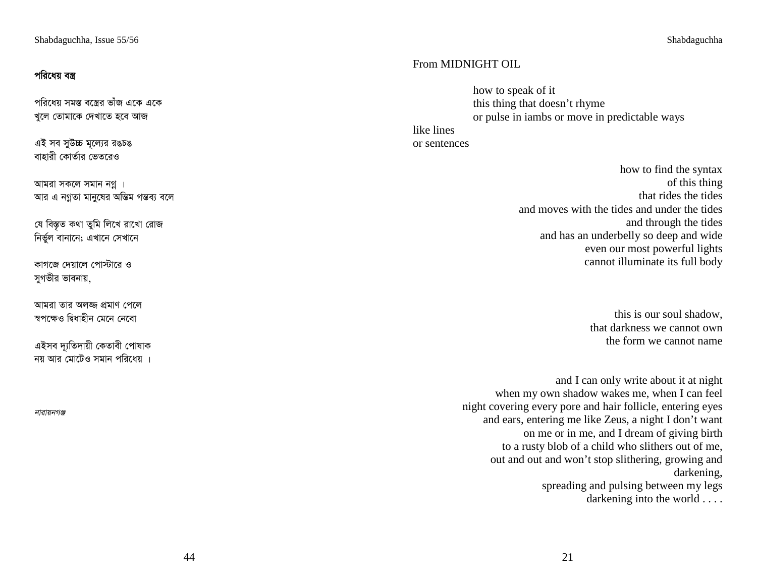# পরিধেয় বস্ত্র

পরিধেয় সমস্ত বস্ত্রের ভাঁজ একে একে খুলে তোমাকে দেখাতে হবে আজ

এই সব সুউচ্চ মূল্যের রঙচঙ বাহারী কোর্তার ভেতরেও

আমরা সকলে সমান নগ্ন। আর এ নগ্নতা মানুষের অন্তিম গন্তব্য বলে

যে বিস্তৃত কথা তুমি লিখে রাখো রোজ নিৰ্ভুল বানানে; এখানে সেখানে

কাগজে দেয়ালে পোস্টারে ও সুগভীর ভাবনায়,

আমরা তার অলজ্জ প্রমাণ পেলে ৰপক্ষেও দ্বিধাহীন মেনে নেবো

এইসব দ্যতিদায়ী কেতাবী পোষাক নয় আর মোটেও সমান পরিধেয় ।

নারায়নগঞ্জ

## From MIDNIGHT OIL

how to speak of it this thing that doesn't rhyme or pulse in iambs or move in predictable ways like lines or sentences

> how to find the syntax of this thing that rides the tides and moves with the tides and under the tides and through the tides and has an underbelly so deep and wide even our most powerful lights cannot illuminate its full body

> > this is our soul shadow, that darkness we cannot own the form we cannot name

and I can only write about it at night when my own shadow wakes me, when I can feel night covering every pore and hair follicle, entering eyes and ears, entering me like Zeus, a night I don't want on me or in me, and I dream of giving birth to a rusty blob of a child who slithers out of me, out and out and won't stop slithering, growing and darkening, spreading and pulsing between my legs darkening into the world . . . .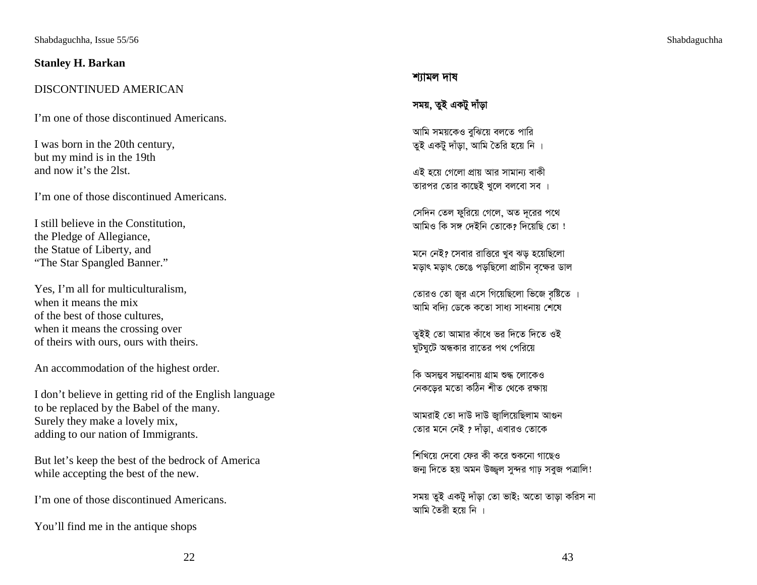### **Stanley H. Barkan**

## DISCONTINUED AMERICAN

I'm one of those discontinued Americans.

I was born in the 20th century, but my mind is in the 19th and now it's the 2lst.

I'm one of those discontinued Americans.

I still believe in the Constitution, the Pledge of Allegiance, the Statue of Liberty, and "The Star Spangled Banner."

Yes, I'm all for multiculturalism, when it means the mix of the best of those cultures, when it means the crossing over of theirs with ours, ours with theirs.

An accommodation of the highest order.

I don't believe in getting rid of the English language to be replaced by the Babel of the many. Surely they make a lovely mix, adding to our nation of Immigrants.

But let's keep the best of the bedrock of America while accepting the best of the new.

I'm one of those discontinued Americans.

You'll find me in the antique shops

#### শ্যামল দাষ

# সময়, তুই একটু দাঁড়া

আমি সময়কেও বুঝিয়ে বলতে পারি তুই একটু দাঁড়া, আমি তৈরি হয়ে নি ।

এই হয়ে গেলো প্ৰায় আর সামান্য বাকী তারপর তোর কাছেই খুলে বলবো সব ।

সেদিন তেল ফুরিয়ে গেলে, অত দূরের পথে আমিও কি সঙ্গ দেইনি তোকে? দিয়েছি তো !

মনে নেই? সেবার রাত্তিরে খুব ঝড় হয়েছিলো মড়াৎ মড়াৎ ভেঙে পড়ছিলো প্রাচীন বৃক্ষের ডাল

তোরও তো জুর এসে গিয়েছিলো ভিজে বৃষ্টিতে । আমি বদি্য ডেকে কতো সাধ্য সাধনায় শেষে

তুইই তো আমার কাঁধে ভর দিতে দিতে ওই দ্মটঘটে অন্ধকার রাতের পথ পেরিয়ে

কি অসম্ভব সম্ভাবনায় গ্ৰাম শুদ্ধ লোকেও নেকড়ের মতো কঠিন শীত থেকে রক্ষায়

আমরাই তো দাউ দাউ জ্বালিয়েছিলাম আগুন তোর মনে নেই ? দাঁড়া, এবারও তোকে

শিখিয়ে দেবো ফের কী করে শুকনো গাছেও জন্ম দিতে হয় অমন উজ্জ্বল সুন্দর গাঢ় সবুজ পত্রালি!

সময় তুই একটু দাঁড়া তো ভাই; অতো তাড়া করিস না আমি তৈরী হয়ে নি ।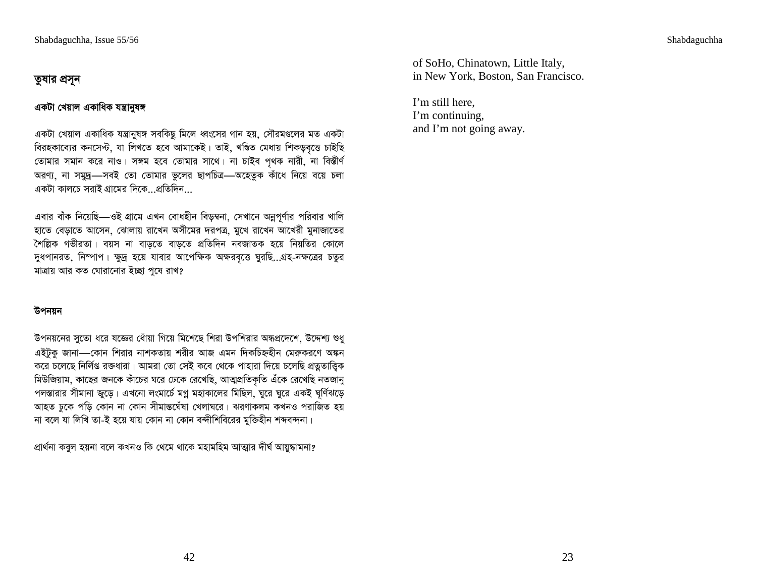# তুষার প্রসূন

## একটা খেয়াল একাধিক যন্ত্ৰানুষঙ্গ

একটা খেয়াল একাধিক যন্ত্রানুষঙ্গ সবকিছু মিলে ধ্বংসের গান হয়, সৌরমণ্ডলের মত একটা বিরহকাব্যের কনসেপ্ট, যা লিখতে হবে আমাকেই। তাই, খণ্ডিত মেধায় শিকড়বৃত্তে চাইছি তোমার সমান করে নাও। সঙ্গম হবে তোমার সাথে। না চাইব পৃথক নারী, না বিস্তীর্ণ অরণ্য, না সমুদ্র—সবই তো তোমার ভুলের ছাপচিত্র—অহেতুক কাঁধে নিয়ে বয়ে চলা একটা কালচে সবাই গ্রামেব দিকে প্রতিদিন

এবার বাঁক নিয়েছি—ওই গ্রামে এখন বোধহীন বিড়ম্বনা, সেখানে অনুপূর্ণার পরিবার খালি হাতে বেড়াতে আসেন, ঝোলায় রাখেন অসীমের দরপত্র, মুখে রাখেন আখেরী মুনাজাতের শৈল্পিক গভীরতা। বয়স না বাড়তে বাড়তে প্রতিদিন নবজাতক হয়ে নিয়তির কোলে দুধপানরত, নিম্পাপ। ক্ষুদ্র হয়ে যাবার আপেক্ষিক অক্ষরবৃত্তে ঘুরছি...গ্রহ-নক্ষত্রের চতুর মাত্রায় আর কত ঘোরানোর ইচ্ছা পুষে রাখ?

## উপনয়ন

উপনয়নের সুতো ধরে যজ্ঞের ধোঁয়া গিয়ে মিশেছে শিরা উপশিরার অন্ধপ্রদেশে, উদ্দেশ্য শুধু এইটুকু জানা—কোন শিরার নাশকতায় শরীর আজ এমন দিকচিহ্নহীন মেরুকরণে অঙ্কন করে চলেছে নির্লিপ্ত রক্তধারা। আমরা তো সেই কবে থেকে পাহারা দিয়ে চলেছি প্রত্নতাত্ত্বিক মিউজিয়াম, কাছের জনকে কাঁচের ঘরে ঢেকে রেখেছি, আত্মপ্রতিকৃতি এঁকে রেখেছি নতজানু পলস্তারার সীমানা জুড়ে। এখনো লংমার্চে মগ্ন মহাকালের মিছিল, ঘুরে ঘুরে একই ঘূর্ণিঝড়ে আহত ঢুকে পড়ি কোন না কোন সীমান্তঘেঁষা খেলাঘরে। ঝরণাকলম কখনও পরাজিত হয় না বলে যা লিখি তা-ই হয়ে যায় কোন না কোন বন্দীশিবিরের মুক্তিহীন শব্দবন্দনা।

প্ৰাৰ্থনা কবুল হয়না বলে কখনও কি থেমে থাকে মহামহিম আত্মার দীর্ঘ আয়ুষ্কামনা?

of SoHo, Chinatown, Little Italy, in New York, Boston, San Francisco.

I'm still here. I'm continuing. and I'm not going away.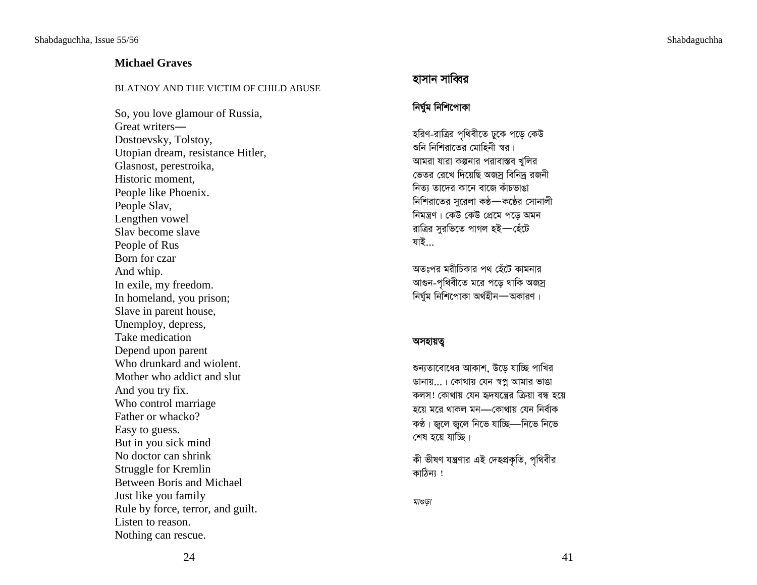#### Shabdaguchha

## **Michael Graves**

#### BLATNOY AND THE VICTIM OF CHILD ABUSE

So, you love glamour of Russia, Great writers-Dostoevsky, Tolstoy, Utopian dream, resistance Hitler, Glasnost, perestroika, Historic moment, People like Phoenix. People Slav, Lengthen vowel Slav become slave People of Rus Born for czar And whip. In exile, my freedom. In homeland, you prison; Slave in parent house, Unemploy, depress, Take medication Depend upon parent Who drunkard and wiolent. Mother who addict and slut And you try fix. Who control marriage Father or whacko? Easy to guess. But in you sick mind No doctor can shrink Struggle for Kremlin Between Boris and Michael Just like you family Rule by force, terror, and guilt. Listen to reason. Nothing can rescue.

# হাসান সাব্বির

## নিৰ্ঘুম নিশিপোকা

হরিণ-রাত্রির পৃথিবীতে ঢুকে পড়ে কেউ শুনি নিশিরাতের মোহিনী স্বর। আমরা যারা কল্পনার পরাবাস্তব খুলির ভেতর রেখে দিয়েছি অজ্স বিনিদ্র রজনী নিত্য তাদের কানে বাজে কাঁচভাঙা নিশিরাতের সুরেলা কণ্ঠ—কণ্ঠের সোনালী নিমন্ত্রণ। কেউ কেউ প্রেমে পড়ে অমন রাত্রির সুরভিতে পাগল হই—হেঁটে যাই...

অতঃপর মরীচিকার পথ হেঁটে কামনার আগুন-পৃথিবীতে মরে পড়ে থাকি অজস্র নিৰ্ঘুম নিশিপোকা অৰ্থহীন—অকারণ।

#### অসহায়ত্ব

শুন্যতাবোধের আকাশ, উড়ে যাচ্ছি পাখির ডানায়...। কোথায় যেন স্বপ্ন আমার ভাঙা কলস! কোথায় যেন হৃদযন্ত্রের ক্রিয়া বন্ধ হয়ে হয়ে মরে থাকল মন—কোথায় যেন নির্বাক কণ্ঠ। জুলে জুলে নিভে যাচ্ছি—নিভে নিভে শেষ হয়ে যাচ্ছি।

কী ভীষণ যন্ত্রণার এই দেহপ্রকৃতি, পৃথিবীর কাঠিন্য !

মাগুড়া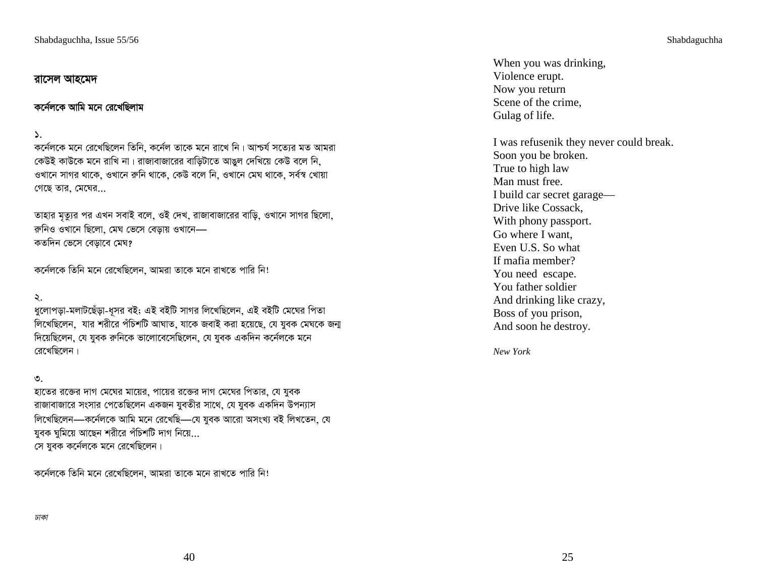## রাসেল আহমেদ

কর্নেলকে আমি মনে রেখেছিলাম

#### $\mathcal{L}$ .

কর্নেলকে মনে রেখেছিলেন তিনি, কর্নেল তাকে মনে রাখে নি। আশ্চর্য সত্যের মত আমরা কেউই কাউকে মনে রাখি না। রাজাবাজারের বাড়িটাতে আঙুল দেখিয়ে কেউ বলে নি, ওখানে সাগর থাকে, ওখানে রুনি থাকে, কেউ বলে নি, ওখানে মেঘ থাকে, সর্বস্ব খোয়া গেছে তার, মেঘের...

তাহার মৃত্যুর পর এখন সবাই বলে, ওই দেখ, রাজাবাজারের বাড়ি, ওখানে সাগর ছিলো, রুনিও ওখানে ছিলো. মেঘ ভেসে বেডায় ওখানে— কতদিন ভেসে বেড়াবে মেঘ?

কর্নেলকে তিনি মনে রেখেছিলেন, আমরা তাকে মনে রাখতে পারি নি!

 $\lambda$ .

ধুলোপড়া-মলাটছেঁড়া-ধূসর বই; এই বইটি সাগর লিখেছিলেন, এই বইটি মেঘের পিতা লিখেছিলেন, যার শরীরে পঁচিশটি আঘাত, যাকে জবাই করা হয়েছে, যে যুবক মেঘকে জন্ম দিয়েছিলেন, যে যুবক রুনিকে ভালোবেসেছিলেন, যে যুবক একদিন কর্নেলকে মনে রেখেছিলেন।

#### $\circ$ .

হাতের রক্তের দাগ মেঘের মায়ের, পায়ের রক্তের দাগ মেঘের পিতার, যে যুবক রাজাবাজারে সংসার পেতেছিলেন একজন যুবতীর সাথে, যে যুবক একদিন উপন্যাস লিখেছিলেন—কৰ্নেলকে আমি মনে রেখেছি—যে যুবক আরো অসংখ্য বই লিখতেন, যে যুবক ঘূমিয়ে আছেন শরীরে পঁচিশটি দাগ নিয়ে... সে যুবক কর্নেলকে মনে রেখেছিলেন।

কর্নেলকে তিনি মনে রেখেছিলেন, আমরা তাকে মনে রাখতে পারি নি!

Shabdaguchha

When you was drinking, Violence erupt. Now you return Scene of the crime. Gulag of life.

I was refusenik they never could break. Soon you be broken. True to high law Man must free. I build car secret garage-Drive like Cossack, With phony passport. Go where I want. Even U.S. So what If mafia member? You need escape. You father soldier And drinking like crazy, Boss of you prison, And soon he destroy.

New York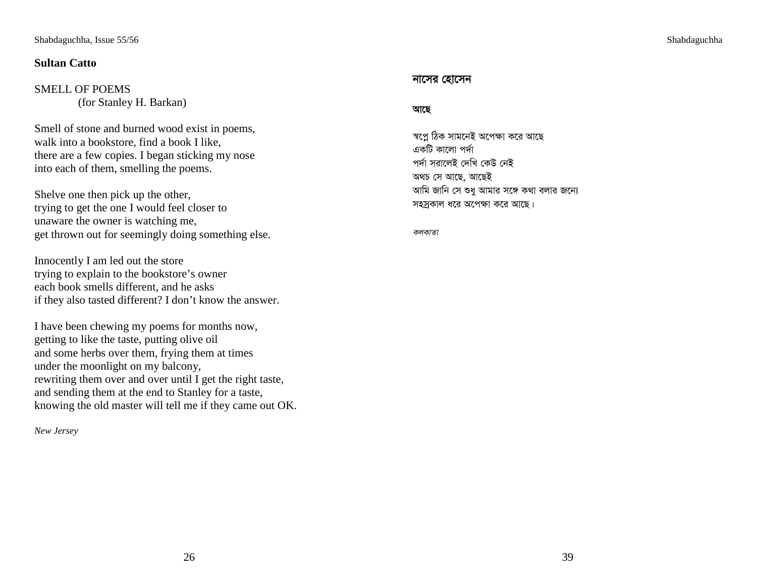## **Sultan Catto**

## SMELL OF POEMS (for Stanley H. Barkan)

Smell of stone and burned wood exist in poems, walk into a bookstore, find a book I like, there are a few copies. I began sticking my nose into each of them, smelling the poems.

Shelve one then pick up the other, trying to get the one I would feel closer to unaware the owner is watching me, get thrown out for seemingly doing something else.

Innocently I am led out the store trying to explain to the bookstore's owner each book smells different, and he asks if they also tasted different? I don't know the answer.

I have been chewing my poems for months now, getting to like the taste, putting olive oil and some herbs over them, frying them at times under the moonlight on my balcony, rewriting them over and over until I get the right taste, and sending them at the end to Stanley for a taste, knowing the old master will tell me if they came out OK.

*New Jersey* 

### নাসের হোসেন

#### আছে

স্বপ্নে ঠিক সামনেই অপেক্ষা করে আছে একটি কালো পৰ্দা পৰ্দা সরালেই দেখি কেউ নেই অথচ সে আছে, আছেই আমি জানি সে শুধু আমার সঙ্গে কথা বলার জন্যে সহস্রকাল ধরে অপেক্ষা করে আছে।

কলকাতা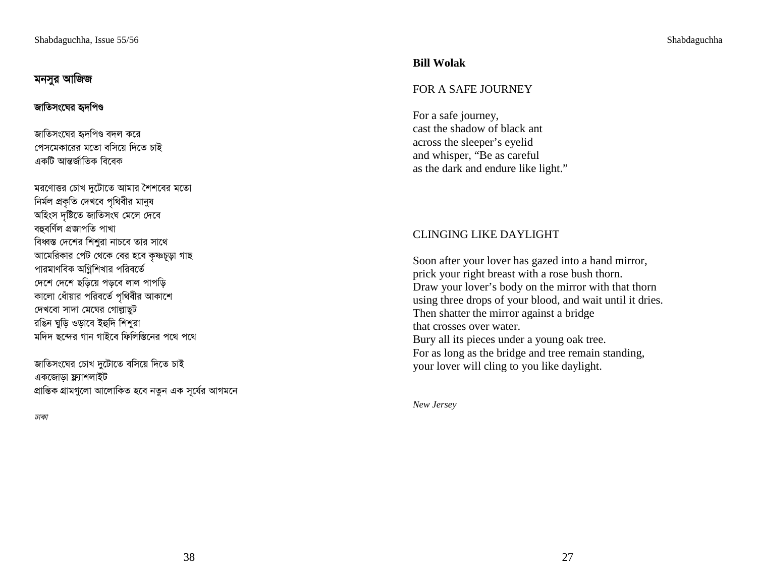# মনসুর আজিজ

# জাতিসংঘের হৃদপিণ্ড

জাতিসংঘের হৃদপিণ্ড বদল করে পেসমেকারের মতো বসিয়ে দিতে চাই একটি আন্তর্জাতিক বিবেক

মরণোত্তর চোখ দুটোতে আমার শৈশবের মতো নিৰ্মল প্ৰকৃতি দেখবে পৃথিবীর মানুষ অহিংস দৃষ্টিতে জাতিসংঘ মেলে দেবে বহুবৰ্ণিল প্ৰজাপতি পাখা বিধ্বস্ত দেশের শিশুরা নাচবে তার সাথে আমেরিকার পেট থেকে বের হবে কষ্ণচূড়া গাছ পারমাণবিক অগ্নিশিখার পরিবর্তে দেশে দেশে ছড়িয়ে পড়বে লাল পাপড়ি কালো ধোঁয়ার পরিবর্তে পৃথিবীর আকাশে দেখবো সাদা মেঘের গোল্লাছট রঙিন ঘুড়ি ওড়াবে ইহুদি শিশুরা মদিদ ছন্দের গান গাইবে ফিলিস্তিনের পথে পথে

জাতিসংঘের চোখ দুটোতে বসিয়ে দিতে চাই একজোড়া ফ্ল্যাশলাইট প্ৰান্তিক গ্ৰামগুলো আলোকিত হবে নতুন এক সূৰ্যের আগমনে

ঢাকা

# **Bill Wolak**

# FOR A SAFE JOURNEY

For a safe journey, cast the shadow of black ant across the sleeper's eyelid and whisper, "Be as careful as the dark and endure like light."

# **CLINGING LIKE DAYLIGHT**

Soon after your lover has gazed into a hand mirror, prick your right breast with a rose bush thorn. Draw your lover's body on the mirror with that thorn using three drops of your blood, and wait until it dries. Then shatter the mirror against a bridge that crosses over water. Bury all its pieces under a young oak tree. For as long as the bridge and tree remain standing, your lover will cling to you like daylight.

New Jersey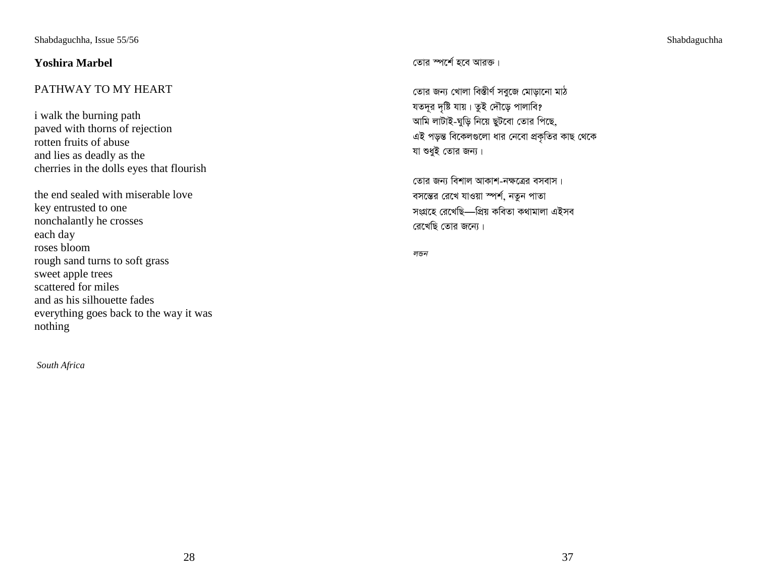# **Yoshira Marbel**

# PATHWAY TO MY HEART

i walk the burning path paved with thorns of rejection rotten fruits of abuse and lies as deadly as the cherries in the dolls eyes that flourish

the end sealed with miserable love key entrusted to one nonchalantly he crosses each day roses bloom rough sand turns to soft grass sweet apple trees scattered for miles and as his silhouette fades everything goes back to the way it was nothing

*South Africa* 

কোৱ স্পৰ্শে হবে আৱক্ত।

তোর জন্য খোলা বিস্তীর্ণ সবুজে মোড়ানো মাঠ যতদূর দৃষ্টি যায়। তুই দৌড়ে পালাবি? আমি লাটাই-ঘুড়ি নিয়ে ছুটবো তোর পিছে, এই পড়ন্ত বিকেলগুলো ধার নেবো প্রকৃতির কাছ থেকে যা শুধুই তোর জন্য।

তোর জন্য বিশাল আকাশ-নক্ষত্রের বসবাস। বসন্তের রেখে যাওয়া স্পর্শ, নতুন পাতা সংগ্ৰহে রেখেছি—প্ৰিয় কবিতা কথামালা এইসব ৱেখেছি তোৱ জন্যে।

লন্ডন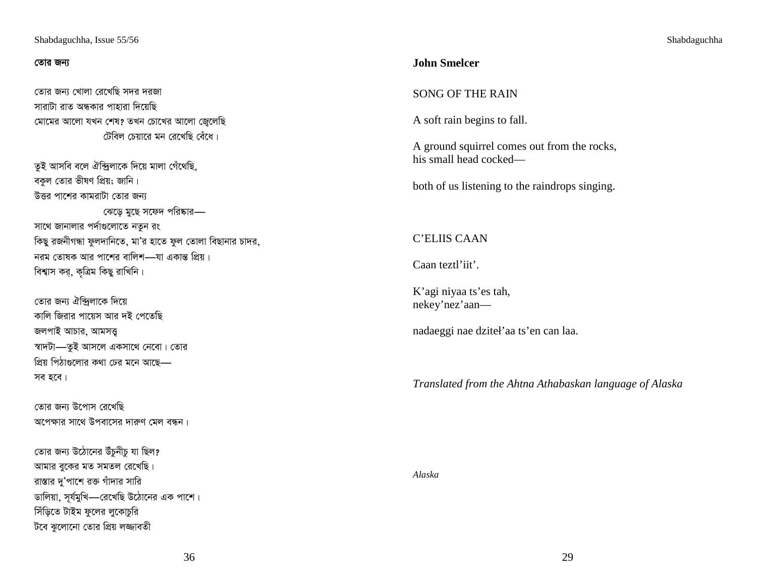#### তোর জন্য

তোর জন্য খোলা রেখেছি সদর দরজা সারাটা রাত অন্ধকার পাহারা দিয়েছি মোমের আলো যখন শেষ? তখন চোখের আলো জেলেছি টেবিল চেয়ারে মন রেখেছি বেঁধে।

তুই আসবি বলে ঐন্দ্রিলাকে দিয়ে মালা গেঁথেছি, বকুল তোর ভীষণ প্রিয়; জানি। উত্তর পাশের কামরাটা তোর জন্য ঝেড়ে মুছে সফেদ পরিষ্কার— সাথে জানালার পর্দাগুলোতে নতুন রং কিছু রজনীগন্ধা ফুলদানিতে, মা'র হাতে ফুল তোলা বিছানার চাদর, নরম তোষক আর পাশের বালিশ—যা একান্ত প্রিয়। বিশ্বাস কর, কৃত্রিম কিছু রাখিনি।

তোর জন্য ঐন্দ্রিলাকে দিয়ে কালি জিরার পায়েস আর দই পেতেছি জলপাই আচার, আমসত্ত্ব স্বাদটা—তুই আসলে একসাথে নেবো। তোর প্রিয় পিঠাগুলোর কথা ঢের মনে আছে— সব হবে।

তোর জন্য উপোস রেখেছি অপেক্ষার সাথে উপবাসের দারুণ মেল বন্ধন।

তোর জন্য উঠোনের উঁচুনীচু যা ছিল? আমার বুকের মত সমতল রেখেছি। রাস্তার দু'পাশে রক্ত গাঁদার সারি ডালিয়া, সূর্যমুখি—রেখেছি উঠোনের এক পাশে। সিঁড়িতে টাইম ফুলের লুকোচুরি টবে ঝুলোনো তোর প্রিয় লজ্জাবতী

## **John Smelcer**

## **SONG OF THE RAIN**

A soft rain begins to fall.

A ground squirrel comes out from the rocks, his small head cocked—

both of us listening to the raindrops singing.

## C'ELIIS CAAN

Caan teztl'iit'.

K'agi niyaa ts'es tah, nekey'nez'aan-

nadaeggi nae dziteł'aa ts'en can laa.

Translated from the Ahtna Athabaskan language of Alaska

Alaska

Shabdaguchha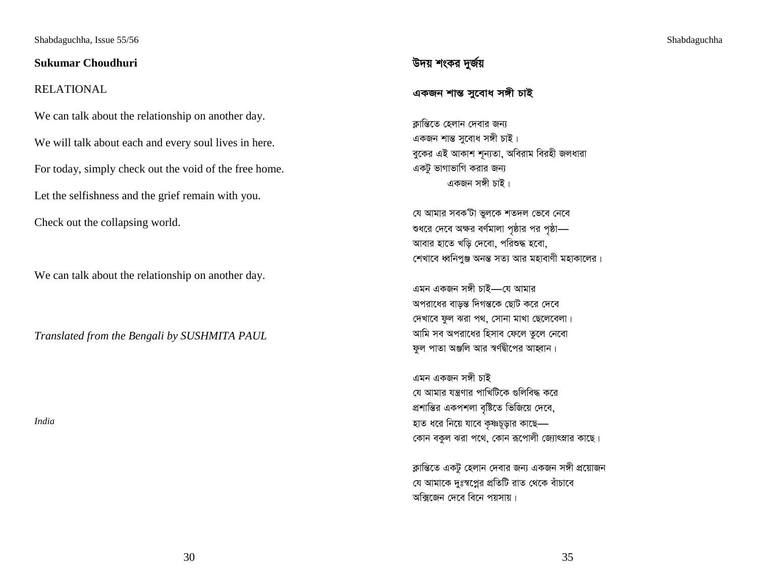### **Sukumar Choudhuri**

## RELATIONAL

We can talk about the relationship on another day. We will talk about each and every soul lives in here. For today, simply check out the void of the free home. Let the selfishness and the grief remain with you. Check out the collapsing world.

We can talk about the relationship on another day.

*Translated from the Bengali by SUSHMITA PAUL* 

*India* 

# উদয় শংকর দুর্জয়

একজন শান্ত সুবোধ সঙ্গী চাই

ক্লান্তিতে হেলান দেবার জন্য একজন শান্ত সুবোধ সঙ্গী চাই। বুকের এই আকাশ শূন্যতা, অবিরাম বিরহী জলধারা একটু ভাগাভাগি করার জন্য একজন সঙ্গী চাই।

যে আমার সবক'টা ভুলকে শতদল ভেবে নেবে শুধরে দেবে অক্ষর বর্ণমালা পৃষ্ঠার পর পৃষ্ঠা— আবার হাতে খড়ি দেবো, পরিশুদ্ধ হবো, শেখাবে ধ্বনিপুঞ্জ অনন্ত সত্য আর মহাবাণী মহাকালের।

এমন একজন সঙ্গী চাই—য়ে আমার অপরাধের বাড়ন্ত দিগন্তকে ছোট করে দেবে দেখাবে ফুল ঝরা পথ, সোনা মাখা ছেলেবেলা। আমি সব অপরাধের হিসাব ফেলে তুলে নেবো ফুল পাতা অঞ্জলি আর স্বর্ণদ্বীপের আহ্বান।

এমন একজন সঙ্গী চাই যে আমার যন্ত্রণার পাখিটিকে গুলিবিদ্ধ করে প্রশান্তির একপশলা বৃষ্টিতে ভিজিয়ে দেবে, হাত ধরে নিয়ে যাবে কৃষ্ণচূড়ার কাছে— কোন বকুল ঝরা পথে, কোন রূপোলী জ্যোৎস্নার কাছে।

ক্লান্তিতে একটু হেলান দেবার জন্য একজন সঙ্গী প্রয়োজন যে আমাকে দুঃস্বপ্নের প্রতিটি রাত থেকে বাঁচাবে অক্সিজেন দেবে বিনে পয়সায়।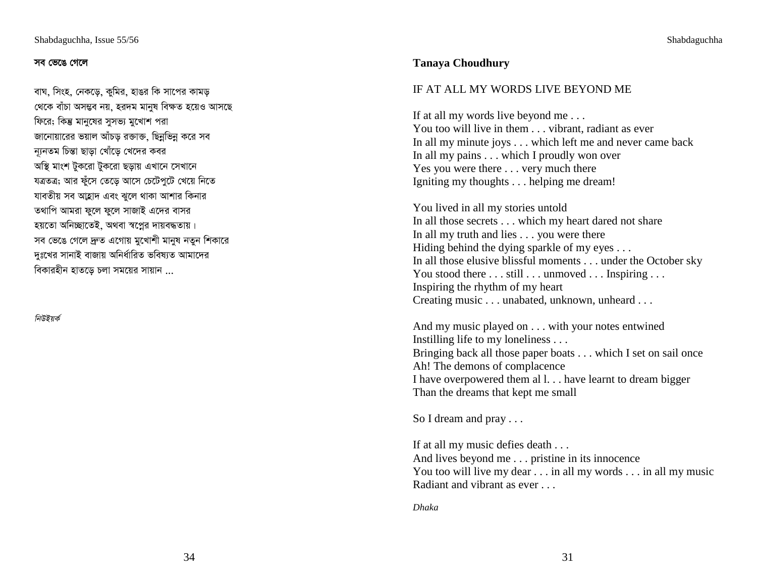#### সব ভেঙে গেলে

বাঘ, সিংহ, নেকডে, কুমির, হাঙর কি সাপের কামড থেকে বাঁচা অসম্ভব নয়, হরদম মানুষ বিক্ষত হয়েও আস<mark>ছে</mark> ফিরে; কিন্তু মানুষের সুসভ্য মুখোশ পরা জানোয়ারের ভয়াল আঁচড় রজাক্ত, ছিন্নভিন্ন করে সব ন্যূনতম চিন্তা ছাড়া খোঁড়ে খেদের কবর অস্থি মাংশ টুকরো টুকরো ছড়ায় এখানে সেখানে যত্ৰতত্ত্ব; আর ফুঁসে তেডে আসে চেটেপুটে খেয়ে নিতে যাবতীয় সব আহ্লাদ এবং ঝুলে থাকা আশার কিনার তথাপি আমরা ফুলে ফুলে সাজাই এদের বাসর হয়তো অনিচ্ছাতেই, অথবা স্বপ্নের দায়বদ্ধতায়। সব ভেঙে গেলে দ্ৰুত এগোয় মুখোশী মানুষ নতুন শিকারে দঃখের সানাই বাজায় অনির্ধারিত ভবিষ্যত আমাদের বিকারহীন হাতড়ে চলা সময়ের সায়ান ...

নিউইয়র্ক

## **Tanaya Choudhury**

## IF AT ALL MY WORDS LIVE BEYOND ME

If at all my words live beyond me . . . You too will live in them . . . vibrant, radiant as ever In all my minute joys . . . which left me and never came back In all my pains . . . which I proudly won over Yes you were there . . . very much there Igniting my thoughts . . . helping me dream!

You lived in all my stories untold In all those secrets . . . which my heart dared not share In all my truth and lies . . . you were there Hiding behind the dying sparkle of my eyes . . . In all those elusive blissful moments . . . under the October sky You stood there . . . still . . . unmoved . . . Inspiring . . . Inspiring the rhythm of my heart Creating music . . . unabated, unknown, unheard . . .

And my music played on . . . with your notes entwined Instilling life to my loneliness . . . Bringing back all those paper boats . . . which I set on sail once Ah! The demons of complacence I have overpowered them al l. . . have learnt to dream bigger Than the dreams that kept me small

So I dream and pray . . .

If at all my music defies death . . . And lives beyond me . . . pristine in its innocence You too will live my dear . . . in all my words . . . in all my music Radiant and vibrant as ever . . .

*Dhaka*